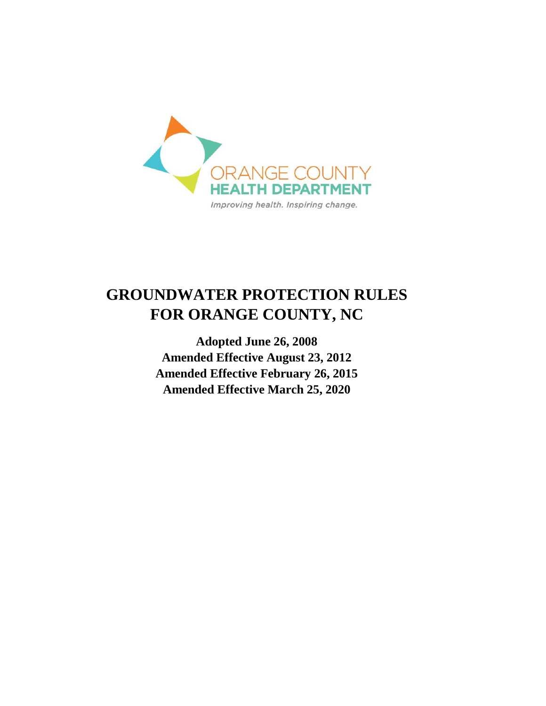

# **GROUNDWATER PROTECTION RULES FOR ORANGE COUNTY, NC**

**Adopted June 26, 2008 Amended Effective August 23, 2012 Amended Effective February 26, 2015 Amended Effective March 25, 2020**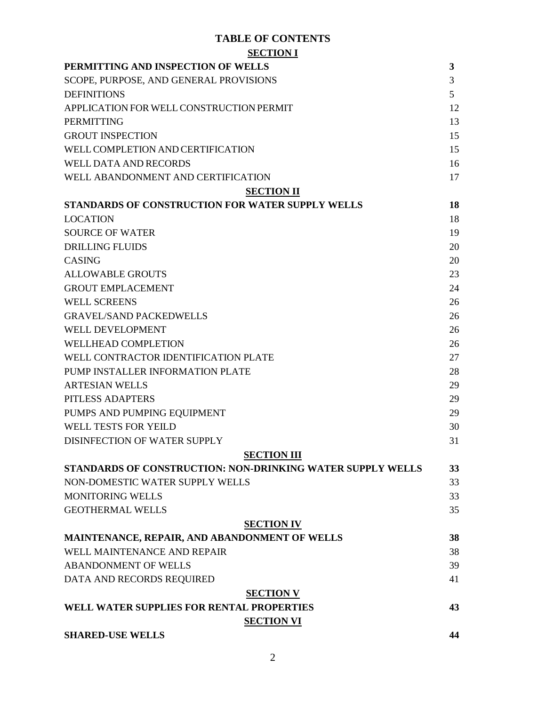#### **TABLE OF CONTENTS SECTION I**

| <b>DECITORI</b><br>PERMITTING AND INSPECTION OF WELLS      | 3  |
|------------------------------------------------------------|----|
| SCOPE, PURPOSE, AND GENERAL PROVISIONS                     | 3  |
| <b>DEFINITIONS</b>                                         | 5  |
| APPLICATION FOR WELL CONSTRUCTION PERMIT                   | 12 |
| <b>PERMITTING</b>                                          | 13 |
| <b>GROUT INSPECTION</b>                                    | 15 |
| WELL COMPLETION AND CERTIFICATION                          | 15 |
| <b>WELL DATA AND RECORDS</b>                               | 16 |
| WELL ABANDONMENT AND CERTIFICATION                         | 17 |
| <b>SECTION II</b>                                          |    |
| STANDARDS OF CONSTRUCTION FOR WATER SUPPLY WELLS           | 18 |
| <b>LOCATION</b>                                            | 18 |
| <b>SOURCE OF WATER</b>                                     | 19 |
| <b>DRILLING FLUIDS</b>                                     | 20 |
| <b>CASING</b>                                              | 20 |
| <b>ALLOWABLE GROUTS</b>                                    | 23 |
| <b>GROUT EMPLACEMENT</b>                                   | 24 |
| <b>WELL SCREENS</b>                                        | 26 |
| <b>GRAVEL/SAND PACKEDWELLS</b>                             | 26 |
| <b>WELL DEVELOPMENT</b>                                    | 26 |
| <b>WELLHEAD COMPLETION</b>                                 | 26 |
| WELL CONTRACTOR IDENTIFICATION PLATE                       | 27 |
| PUMP INSTALLER INFORMATION PLATE                           | 28 |
| <b>ARTESIAN WELLS</b>                                      | 29 |
| PITLESS ADAPTERS                                           | 29 |
| PUMPS AND PUMPING EQUIPMENT                                | 29 |
| <b>WELL TESTS FOR YEILD</b>                                | 30 |
| <b>DISINFECTION OF WATER SUPPLY</b>                        | 31 |
| <b>SECTION III</b>                                         |    |
| STANDARDS OF CONSTRUCTION: NON-DRINKING WATER SUPPLY WELLS | 33 |
| NON-DOMESTIC WATER SUPPLY WELLS                            | 33 |
| <b>MONITORING WELLS</b>                                    | 33 |
| <b>GEOTHERMAL WELLS</b>                                    | 35 |
| <b>SECTION IV</b>                                          |    |
| MAINTENANCE, REPAIR, AND ABANDONMENT OF WELLS              | 38 |
| WELL MAINTENANCE AND REPAIR                                | 38 |
| <b>ABANDONMENT OF WELLS</b>                                | 39 |
| DATA AND RECORDS REQUIRED                                  | 41 |
| <b>SECTION V</b>                                           |    |
| WELL WATER SUPPLIES FOR RENTAL PROPERTIES                  | 43 |
| <b>SECTION VI</b>                                          |    |
| <b>SHARED-USE WELLS</b>                                    | 44 |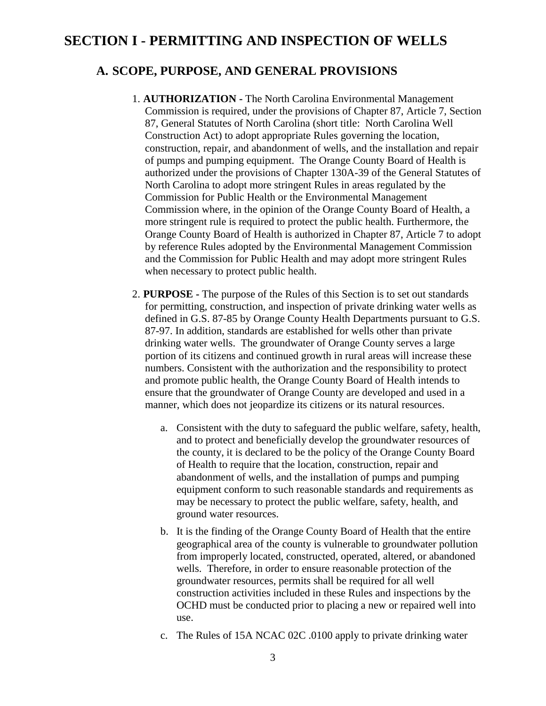## **SECTION I - PERMITTING AND INSPECTION OF WELLS**

#### **A. SCOPE, PURPOSE, AND GENERAL PROVISIONS**

- 1. **AUTHORIZATION -** The North Carolina Environmental Management Commission is required, under the provisions of Chapter 87, Article 7, Section 87, General Statutes of North Carolina (short title: North Carolina Well Construction Act) to adopt appropriate Rules governing the location, construction, repair, and abandonment of wells, and the installation and repair of pumps and pumping equipment. The Orange County Board of Health is authorized under the provisions of Chapter 130A-39 of the General Statutes of North Carolina to adopt more stringent Rules in areas regulated by the Commission for Public Health or the Environmental Management Commission where, in the opinion of the Orange County Board of Health, a more stringent rule is required to protect the public health. Furthermore, the Orange County Board of Health is authorized in Chapter 87, Article 7 to adopt by reference Rules adopted by the Environmental Management Commission and the Commission for Public Health and may adopt more stringent Rules when necessary to protect public health.
- 2. **PURPOSE -** The purpose of the Rules of this Section is to set out standards for permitting, construction, and inspection of private drinking water wells as defined in G.S. 87-85 by Orange County Health Departments pursuant to G.S. 87-97. In addition, standards are established for wells other than private drinking water wells. The groundwater of Orange County serves a large portion of its citizens and continued growth in rural areas will increase these numbers. Consistent with the authorization and the responsibility to protect and promote public health, the Orange County Board of Health intends to ensure that the groundwater of Orange County are developed and used in a manner, which does not jeopardize its citizens or its natural resources.
	- a. Consistent with the duty to safeguard the public welfare, safety, health, and to protect and beneficially develop the groundwater resources of the county, it is declared to be the policy of the Orange County Board of Health to require that the location, construction, repair and abandonment of wells, and the installation of pumps and pumping equipment conform to such reasonable standards and requirements as may be necessary to protect the public welfare, safety, health, and ground water resources.
	- b. It is the finding of the Orange County Board of Health that the entire geographical area of the county is vulnerable to groundwater pollution from improperly located, constructed, operated, altered, or abandoned wells. Therefore, in order to ensure reasonable protection of the groundwater resources, permits shall be required for all well construction activities included in these Rules and inspections by the OCHD must be conducted prior to placing a new or repaired well into use.
	- c. The Rules of 15A NCAC 02C .0100 apply to private drinking water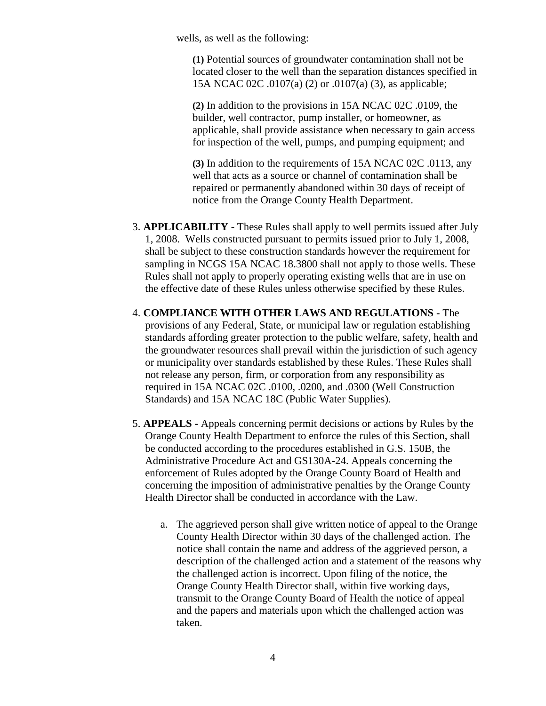wells, as well as the following:

**(1)** Potential sources of groundwater contamination shall not be located closer to the well than the separation distances specified in 15A NCAC 02C .0107(a) (2) or .0107(a) (3), as applicable;

**(2)** In addition to the provisions in 15A NCAC 02C .0109, the builder, well contractor, pump installer, or homeowner, as applicable, shall provide assistance when necessary to gain access for inspection of the well, pumps, and pumping equipment; and

**(3)** In addition to the requirements of 15A NCAC 02C .0113, any well that acts as a source or channel of contamination shall be repaired or permanently abandoned within 30 days of receipt of notice from the Orange County Health Department.

- 3. **APPLICABILITY -** These Rules shall apply to well permits issued after July 1, 2008. Wells constructed pursuant to permits issued prior to July 1, 2008, shall be subject to these construction standards however the requirement for sampling in NCGS 15A NCAC 18.3800 shall not apply to those wells. These Rules shall not apply to properly operating existing wells that are in use on the effective date of these Rules unless otherwise specified by these Rules.
- 4. **COMPLIANCE WITH OTHER LAWS AND REGULATIONS -** The provisions of any Federal, State, or municipal law or regulation establishing standards affording greater protection to the public welfare, safety, health and the groundwater resources shall prevail within the jurisdiction of such agency or municipality over standards established by these Rules. These Rules shall not release any person, firm, or corporation from any responsibility as required in 15A NCAC 02C .0100, .0200, and .0300 (Well Construction Standards) and 15A NCAC 18C (Public Water Supplies).
- 5. **APPEALS -** Appeals concerning permit decisions or actions by Rules by the Orange County Health Department to enforce the rules of this Section, shall be conducted according to the procedures established in G.S. 150B, the Administrative Procedure Act and GS130A-24. Appeals concerning the enforcement of Rules adopted by the Orange County Board of Health and concerning the imposition of administrative penalties by the Orange County Health Director shall be conducted in accordance with the Law.
	- a. The aggrieved person shall give written notice of appeal to the Orange County Health Director within 30 days of the challenged action. The notice shall contain the name and address of the aggrieved person, a description of the challenged action and a statement of the reasons why the challenged action is incorrect. Upon filing of the notice, the Orange County Health Director shall, within five working days, transmit to the Orange County Board of Health the notice of appeal and the papers and materials upon which the challenged action was taken.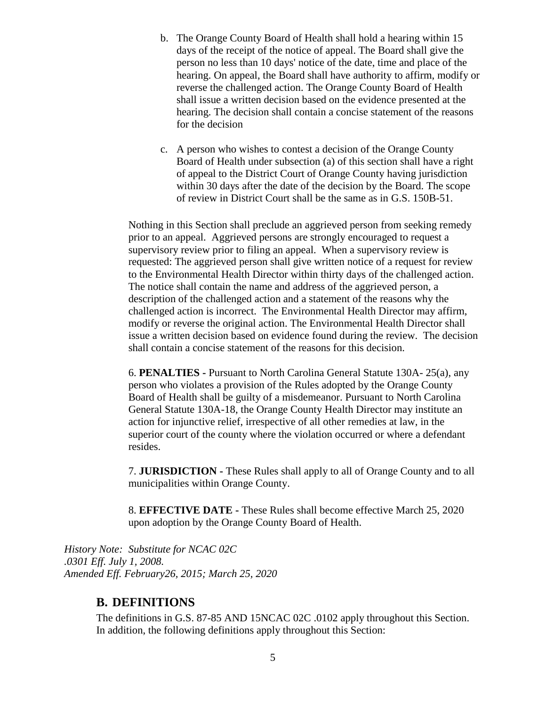- b. The Orange County Board of Health shall hold a hearing within 15 days of the receipt of the notice of appeal. The Board shall give the person no less than 10 days' notice of the date, time and place of the hearing. On appeal, the Board shall have authority to affirm, modify or reverse the challenged action. The Orange County Board of Health shall issue a written decision based on the evidence presented at the hearing. The decision shall contain a concise statement of the reasons for the decision
- c. A person who wishes to contest a decision of the Orange County Board of Health under subsection (a) of this section shall have a right of appeal to the District Court of Orange County having jurisdiction within 30 days after the date of the decision by the Board. The scope of review in District Court shall be the same as in G.S. 150B-51.

Nothing in this Section shall preclude an aggrieved person from seeking remedy prior to an appeal. Aggrieved persons are strongly encouraged to request a supervisory review prior to filing an appeal. When a supervisory review is requested: The aggrieved person shall give written notice of a request for review to the Environmental Health Director within thirty days of the challenged action. The notice shall contain the name and address of the aggrieved person, a description of the challenged action and a statement of the reasons why the challenged action is incorrect. The Environmental Health Director may affirm, modify or reverse the original action. The Environmental Health Director shall issue a written decision based on evidence found during the review. The decision shall contain a concise statement of the reasons for this decision.

6. **PENALTIES -** Pursuant to North Carolina General Statute 130A- 25(a), any person who violates a provision of the Rules adopted by the Orange County Board of Health shall be guilty of a misdemeanor. Pursuant to North Carolina General Statute 130A-18, the Orange County Health Director may institute an action for injunctive relief, irrespective of all other remedies at law, in the superior court of the county where the violation occurred or where a defendant resides.

7. **JURISDICTION -** These Rules shall apply to all of Orange County and to all municipalities within Orange County.

8. **EFFECTIVE DATE -** These Rules shall become effective March 25, 2020 upon adoption by the Orange County Board of Health.

*History Note: Substitute for NCAC 02C .0301 Eff. July 1, 2008. Amended Eff. February26, 2015; March 25, 2020*

#### **B. DEFINITIONS**

The definitions in G.S. 87-85 AND 15NCAC 02C .0102 apply throughout this Section. In addition, the following definitions apply throughout this Section: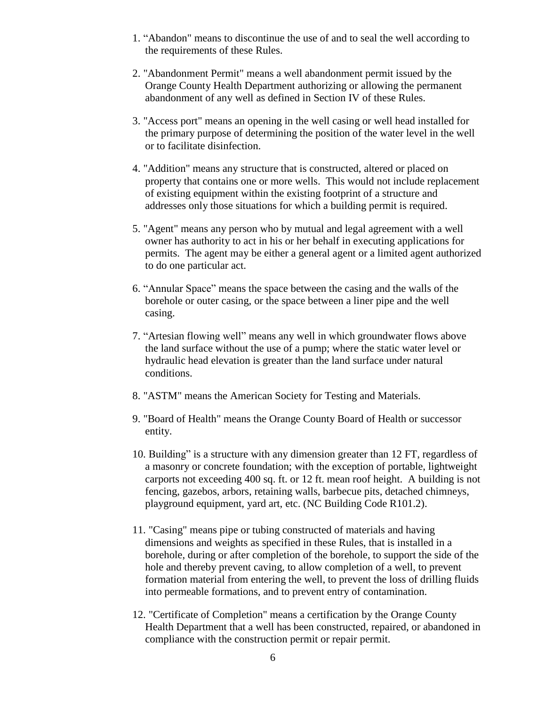- 1. "Abandon" means to discontinue the use of and to seal the well according to the requirements of these Rules.
- 2. "Abandonment Permit" means a well abandonment permit issued by the Orange County Health Department authorizing or allowing the permanent abandonment of any well as defined in Section IV of these Rules.
- 3. "Access port" means an opening in the well casing or well head installed for the primary purpose of determining the position of the water level in the well or to facilitate disinfection.
- 4. "Addition" means any structure that is constructed, altered or placed on property that contains one or more wells. This would not include replacement of existing equipment within the existing footprint of a structure and addresses only those situations for which a building permit is required.
- 5. "Agent" means any person who by mutual and legal agreement with a well owner has authority to act in his or her behalf in executing applications for permits. The agent may be either a general agent or a limited agent authorized to do one particular act.
- 6. "Annular Space" means the space between the casing and the walls of the borehole or outer casing, or the space between a liner pipe and the well casing.
- 7. "Artesian flowing well" means any well in which groundwater flows above the land surface without the use of a pump; where the static water level or hydraulic head elevation is greater than the land surface under natural conditions.
- 8. "ASTM" means the American Society for Testing and Materials.
- 9. "Board of Health" means the Orange County Board of Health or successor entity.
- 10. Building" is a structure with any dimension greater than 12 FT, regardless of a masonry or concrete foundation; with the exception of portable, lightweight carports not exceeding 400 sq. ft. or 12 ft. mean roof height. A building is not fencing, gazebos, arbors, retaining walls, barbecue pits, detached chimneys, playground equipment, yard art, etc. (NC Building Code R101.2).
- 11. "Casing" means pipe or tubing constructed of materials and having dimensions and weights as specified in these Rules, that is installed in a borehole, during or after completion of the borehole, to support the side of the hole and thereby prevent caving, to allow completion of a well, to prevent formation material from entering the well, to prevent the loss of drilling fluids into permeable formations, and to prevent entry of contamination.
- 12. "Certificate of Completion" means a certification by the Orange County Health Department that a well has been constructed, repaired, or abandoned in compliance with the construction permit or repair permit.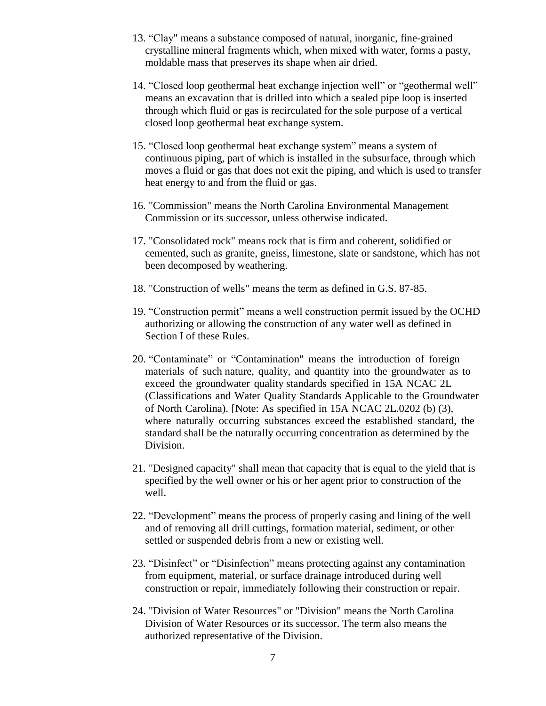- 13. "Clay" means a substance composed of natural, inorganic, fine-grained crystalline mineral fragments which, when mixed with water, forms a pasty, moldable mass that preserves its shape when air dried.
- 14. "Closed loop geothermal heat exchange injection well" or "geothermal well" means an excavation that is drilled into which a sealed pipe loop is inserted through which fluid or gas is recirculated for the sole purpose of a vertical closed loop geothermal heat exchange system.
- 15. "Closed loop geothermal heat exchange system" means a system of continuous piping, part of which is installed in the subsurface, through which moves a fluid or gas that does not exit the piping, and which is used to transfer heat energy to and from the fluid or gas.
- 16. "Commission" means the North Carolina Environmental Management Commission or its successor, unless otherwise indicated.
- 17. "Consolidated rock" means rock that is firm and coherent, solidified or cemented, such as granite, gneiss, limestone, slate or sandstone, which has not been decomposed by weathering.
- 18. "Construction of wells" means the term as defined in G.S. 87-85.
- 19. "Construction permit" means a well construction permit issued by the OCHD authorizing or allowing the construction of any water well as defined in Section I of these Rules.
- 20. "Contaminate" or "Contamination" means the introduction of foreign materials of such nature, quality, and quantity into the groundwater as to exceed the groundwater quality standards specified in 15A NCAC 2L (Classifications and Water Quality Standards Applicable to the Groundwater of North Carolina). [Note: As specified in 15A NCAC 2L.0202 (b) (3), where naturally occurring substances exceed the established standard, the standard shall be the naturally occurring concentration as determined by the Division.
- 21. "Designed capacity" shall mean that capacity that is equal to the yield that is specified by the well owner or his or her agent prior to construction of the well.
- 22. "Development" means the process of properly casing and lining of the well and of removing all drill cuttings, formation material, sediment, or other settled or suspended debris from a new or existing well.
- 23. "Disinfect" or "Disinfection" means protecting against any contamination from equipment, material, or surface drainage introduced during well construction or repair, immediately following their construction or repair.
- 24. "Division of Water Resources" or "Division" means the North Carolina Division of Water Resources or its successor. The term also means the authorized representative of the Division.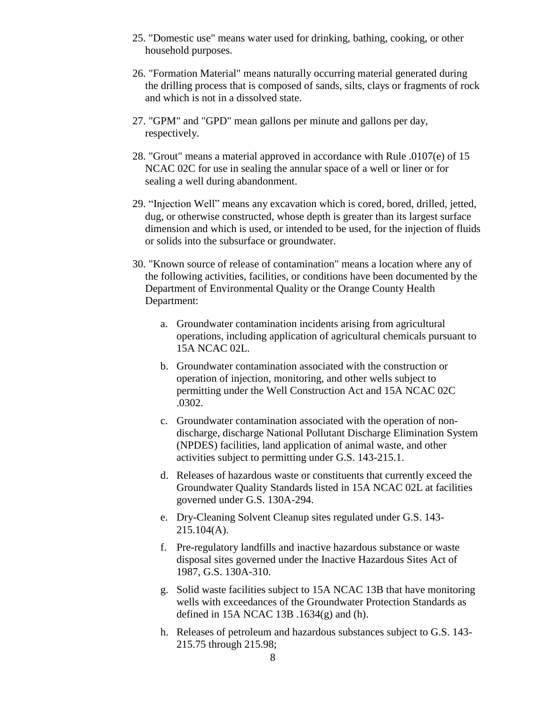- 25. "Domestic use" means water used for drinking, bathing, cooking, or other household purposes.
- 26. "Formation Material" means naturally occurring material generated during the drilling process that is composed of sands, silts, clays or fragments of rock and which is not in a dissolved state.
- 27. "GPM" and "GPD" mean gallons per minute and gallons per day, respectively.
- 28. "Grout" means a material approved in accordance with Rule .0107(e) of 15 NCAC 02C for use in sealing the annular space of a well or liner or for sealing a well during abandonment.
- 29. "Injection Well" means any excavation which is cored, bored, drilled, jetted, dug, or otherwise constructed, whose depth is greater than its largest surface dimension and which is used, or intended to be used, for the injection of fluids or solids into the subsurface or groundwater.
- 30. "Known source of release of contamination" means a location where any of the following activities, facilities, or conditions have been documented by the Department of Environmental Quality or the Orange County Health Department:
	- a. Groundwater contamination incidents arising from agricultural operations, including application of agricultural chemicals pursuant to 15A NCAC 02L.
	- b. Groundwater contamination associated with the construction or operation of injection, monitoring, and other wells subject to permitting under the Well Construction Act and 15A NCAC 02C .0302.
	- c. Groundwater contamination associated with the operation of nondischarge, discharge National Pollutant Discharge Elimination System (NPDES) facilities, land application of animal waste, and other activities subject to permitting under G.S. 143-215.1.
	- d. Releases of hazardous waste or constituents that currently exceed the Groundwater Quality Standards listed in 15A NCAC 02L at facilities governed under G.S. 130A-294.
	- e. Dry-Cleaning Solvent Cleanup sites regulated under G.S. 143- 215.104(A).
	- f. Pre-regulatory landfills and inactive hazardous substance or waste disposal sites governed under the Inactive Hazardous Sites Act of 1987, G.S. 130A-310.
	- g. Solid waste facilities subject to 15A NCAC 13B that have monitoring wells with exceedances of the Groundwater Protection Standards as defined in 15A NCAC 13B  $.1634(g)$  and (h).
	- h. Releases of petroleum and hazardous substances subject to G.S. 143- 215.75 through 215.98;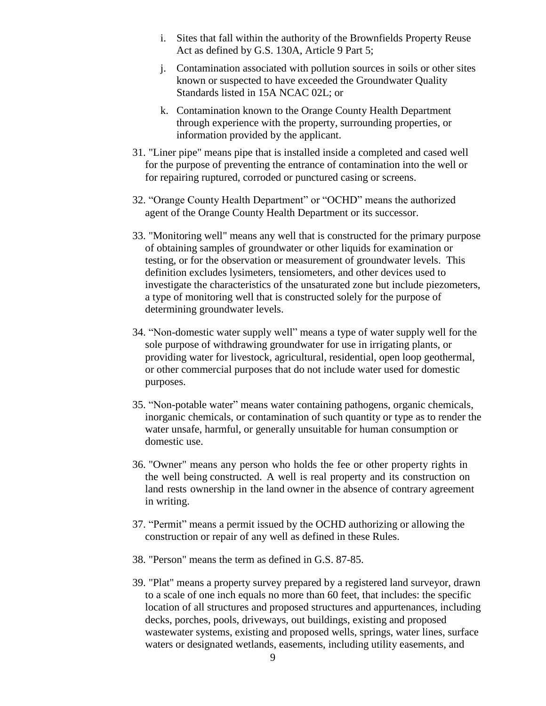- i. Sites that fall within the authority of the Brownfields Property Reuse Act as defined by G.S. 130A, Article 9 Part 5;
- j. Contamination associated with pollution sources in soils or other sites known or suspected to have exceeded the Groundwater Quality Standards listed in 15A NCAC 02L; or
- k. Contamination known to the Orange County Health Department through experience with the property, surrounding properties, or information provided by the applicant.
- 31. "Liner pipe" means pipe that is installed inside a completed and cased well for the purpose of preventing the entrance of contamination into the well or for repairing ruptured, corroded or punctured casing or screens.
- 32. "Orange County Health Department" or "OCHD" means the authorized agent of the Orange County Health Department or its successor.
- 33. "Monitoring well" means any well that is constructed for the primary purpose of obtaining samples of groundwater or other liquids for examination or testing, or for the observation or measurement of groundwater levels. This definition excludes lysimeters, tensiometers, and other devices used to investigate the characteristics of the unsaturated zone but include piezometers, a type of monitoring well that is constructed solely for the purpose of determining groundwater levels.
- 34. "Non-domestic water supply well" means a type of water supply well for the sole purpose of withdrawing groundwater for use in irrigating plants, or providing water for livestock, agricultural, residential, open loop geothermal, or other commercial purposes that do not include water used for domestic purposes.
- 35. "Non-potable water" means water containing pathogens, organic chemicals, inorganic chemicals, or contamination of such quantity or type as to render the water unsafe, harmful, or generally unsuitable for human consumption or domestic use.
- 36. "Owner" means any person who holds the fee or other property rights in the well being constructed. A well is real property and its construction on land rests ownership in the land owner in the absence of contrary agreement in writing.
- 37. "Permit" means a permit issued by the OCHD authorizing or allowing the construction or repair of any well as defined in these Rules.
- 38. "Person" means the term as defined in G.S. 87-85.
- 39. "Plat" means a property survey prepared by a registered land surveyor, drawn to a scale of one inch equals no more than 60 feet, that includes: the specific location of all structures and proposed structures and appurtenances, including decks, porches, pools, driveways, out buildings, existing and proposed wastewater systems, existing and proposed wells, springs, water lines, surface waters or designated wetlands, easements, including utility easements, and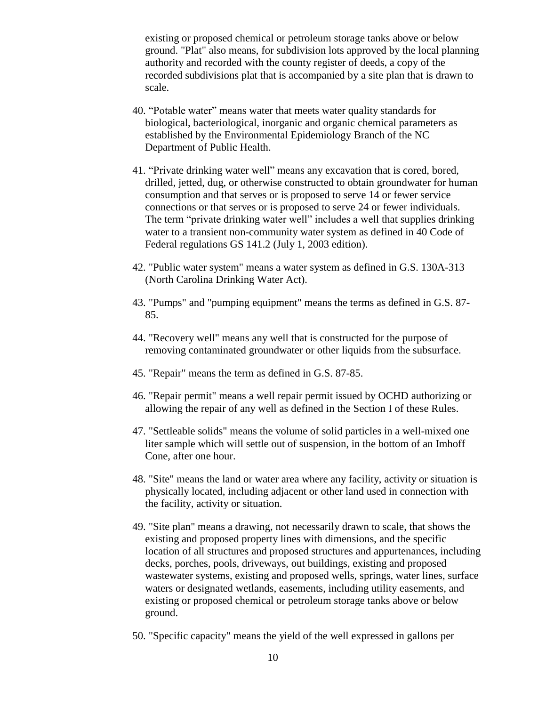existing or proposed chemical or petroleum storage tanks above or below ground. "Plat" also means, for subdivision lots approved by the local planning authority and recorded with the county register of deeds, a copy of the recorded subdivisions plat that is accompanied by a site plan that is drawn to scale.

- 40. "Potable water" means water that meets water quality standards for biological, bacteriological, inorganic and organic chemical parameters as established by the Environmental Epidemiology Branch of the NC Department of Public Health.
- 41. "Private drinking water well" means any excavation that is cored, bored, drilled, jetted, dug, or otherwise constructed to obtain groundwater for human consumption and that serves or is proposed to serve 14 or fewer service connections or that serves or is proposed to serve 24 or fewer individuals. The term "private drinking water well" includes a well that supplies drinking water to a transient non-community water system as defined in 40 Code of Federal regulations GS 141.2 (July 1, 2003 edition).
- 42. "Public water system" means a water system as defined in G.S. 130A-313 (North Carolina Drinking Water Act).
- 43. "Pumps" and "pumping equipment" means the terms as defined in G.S. 87- 85.
- 44. "Recovery well" means any well that is constructed for the purpose of removing contaminated groundwater or other liquids from the subsurface.
- 45. "Repair" means the term as defined in G.S. 87-85.
- 46. "Repair permit" means a well repair permit issued by OCHD authorizing or allowing the repair of any well as defined in the Section I of these Rules.
- 47. "Settleable solids" means the volume of solid particles in a well-mixed one liter sample which will settle out of suspension, in the bottom of an Imhoff Cone, after one hour.
- 48. "Site" means the land or water area where any facility, activity or situation is physically located, including adjacent or other land used in connection with the facility, activity or situation.
- 49. "Site plan" means a drawing, not necessarily drawn to scale, that shows the existing and proposed property lines with dimensions, and the specific location of all structures and proposed structures and appurtenances, including decks, porches, pools, driveways, out buildings, existing and proposed wastewater systems, existing and proposed wells, springs, water lines, surface waters or designated wetlands, easements, including utility easements, and existing or proposed chemical or petroleum storage tanks above or below ground.
- 50. "Specific capacity" means the yield of the well expressed in gallons per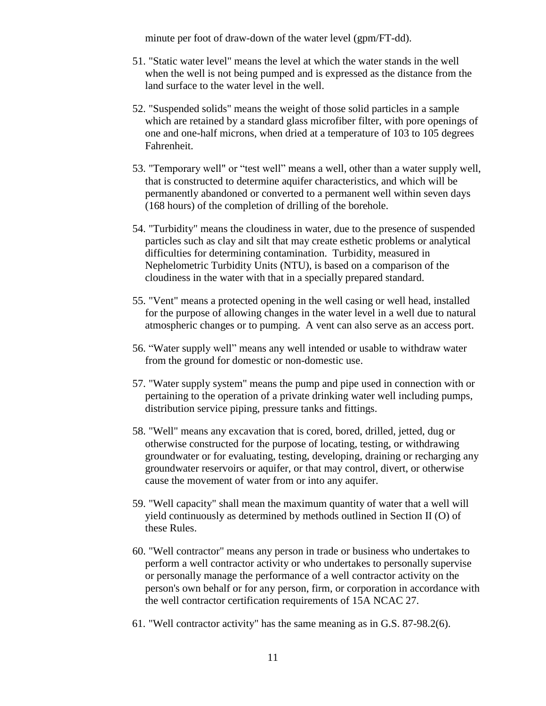minute per foot of draw-down of the water level (gpm/FT-dd).

- 51. "Static water level" means the level at which the water stands in the well when the well is not being pumped and is expressed as the distance from the land surface to the water level in the well.
- 52. "Suspended solids" means the weight of those solid particles in a sample which are retained by a standard glass microfiber filter, with pore openings of one and one-half microns, when dried at a temperature of 103 to 105 degrees Fahrenheit.
- 53. "Temporary well" or "test well" means a well, other than a water supply well, that is constructed to determine aquifer characteristics, and which will be permanently abandoned or converted to a permanent well within seven days (168 hours) of the completion of drilling of the borehole.
- 54. "Turbidity" means the cloudiness in water, due to the presence of suspended particles such as clay and silt that may create esthetic problems or analytical difficulties for determining contamination. Turbidity, measured in Nephelometric Turbidity Units (NTU), is based on a comparison of the cloudiness in the water with that in a specially prepared standard.
- 55. "Vent" means a protected opening in the well casing or well head, installed for the purpose of allowing changes in the water level in a well due to natural atmospheric changes or to pumping. A vent can also serve as an access port.
- 56. "Water supply well" means any well intended or usable to withdraw water from the ground for domestic or non-domestic use.
- 57. "Water supply system" means the pump and pipe used in connection with or pertaining to the operation of a private drinking water well including pumps, distribution service piping, pressure tanks and fittings.
- 58. "Well" means any excavation that is cored, bored, drilled, jetted, dug or otherwise constructed for the purpose of locating, testing, or withdrawing groundwater or for evaluating, testing, developing, draining or recharging any groundwater reservoirs or aquifer, or that may control, divert, or otherwise cause the movement of water from or into any aquifer.
- 59. "Well capacity" shall mean the maximum quantity of water that a well will yield continuously as determined by methods outlined in Section II (O) of these Rules.
- 60. "Well contractor" means any person in trade or business who undertakes to perform a well contractor activity or who undertakes to personally supervise or personally manage the performance of a well contractor activity on the person's own behalf or for any person, firm, or corporation in accordance with the well contractor certification requirements of 15A NCAC 27.
- 61. "Well contractor activity" has the same meaning as in G.S. 87-98.2(6).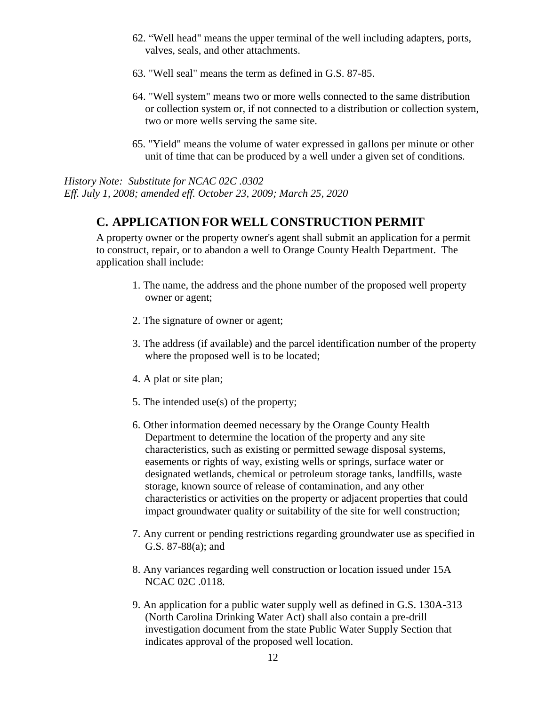- 62. "Well head" means the upper terminal of the well including adapters, ports, valves, seals, and other attachments.
- 63. "Well seal" means the term as defined in G.S. 87-85.
- 64. "Well system" means two or more wells connected to the same distribution or collection system or, if not connected to a distribution or collection system, two or more wells serving the same site.
- 65. "Yield" means the volume of water expressed in gallons per minute or other unit of time that can be produced by a well under a given set of conditions.

*History Note: Substitute for NCAC 02C .0302 Eff. July 1, 2008; amended eff. October 23, 2009; March 25, 2020*

### **C. APPLICATION FOR WELL CONSTRUCTION PERMIT**

A property owner or the property owner's agent shall submit an application for a permit to construct, repair, or to abandon a well to Orange County Health Department. The application shall include:

- 1. The name, the address and the phone number of the proposed well property owner or agent;
- 2. The signature of owner or agent;
- 3. The address (if available) and the parcel identification number of the property where the proposed well is to be located;
- 4. A plat or site plan;
- 5. The intended use(s) of the property;
- 6. Other information deemed necessary by the Orange County Health Department to determine the location of the property and any site characteristics, such as existing or permitted sewage disposal systems, easements or rights of way, existing wells or springs, surface water or designated wetlands, chemical or petroleum storage tanks, landfills, waste storage, known source of release of contamination, and any other characteristics or activities on the property or adjacent properties that could impact groundwater quality or suitability of the site for well construction;
- 7. Any current or pending restrictions regarding groundwater use as specified in G.S. 87-88(a); and
- 8. Any variances regarding well construction or location issued under 15A NCAC 02C .0118.
- 9. An application for a public water supply well as defined in G.S. 130A-313 (North Carolina Drinking Water Act) shall also contain a pre-drill investigation document from the state Public Water Supply Section that indicates approval of the proposed well location.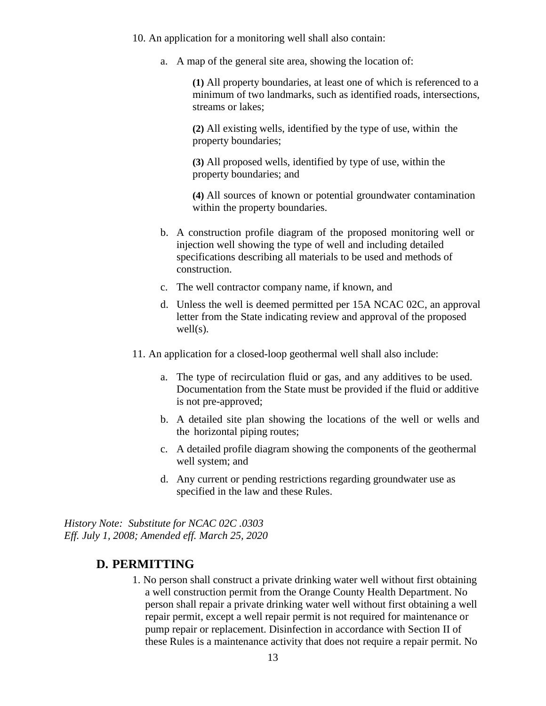10. An application for a monitoring well shall also contain:

a. A map of the general site area, showing the location of:

**(1)** All property boundaries, at least one of which is referenced to a minimum of two landmarks, such as identified roads, intersections, streams or lakes;

**(2)** All existing wells, identified by the type of use, within the property boundaries;

**(3)** All proposed wells, identified by type of use, within the property boundaries; and

**(4)** All sources of known or potential groundwater contamination within the property boundaries.

- b. A construction profile diagram of the proposed monitoring well or injection well showing the type of well and including detailed specifications describing all materials to be used and methods of construction.
- c. The well contractor company name, if known, and
- d. Unless the well is deemed permitted per 15A NCAC 02C, an approval letter from the State indicating review and approval of the proposed well(s).
- 11. An application for a closed-loop geothermal well shall also include:
	- a. The type of recirculation fluid or gas, and any additives to be used. Documentation from the State must be provided if the fluid or additive is not pre-approved;
	- b. A detailed site plan showing the locations of the well or wells and the horizontal piping routes;
	- c. A detailed profile diagram showing the components of the geothermal well system; and
	- d. Any current or pending restrictions regarding groundwater use as specified in the law and these Rules.

*History Note: Substitute for NCAC 02C .0303 Eff. July 1, 2008; Amended eff. March 25, 2020*

#### **D. PERMITTING**

1. No person shall construct a private drinking water well without first obtaining a well construction permit from the Orange County Health Department. No person shall repair a private drinking water well without first obtaining a well repair permit, except a well repair permit is not required for maintenance or pump repair or replacement. Disinfection in accordance with Section II of these Rules is a maintenance activity that does not require a repair permit. No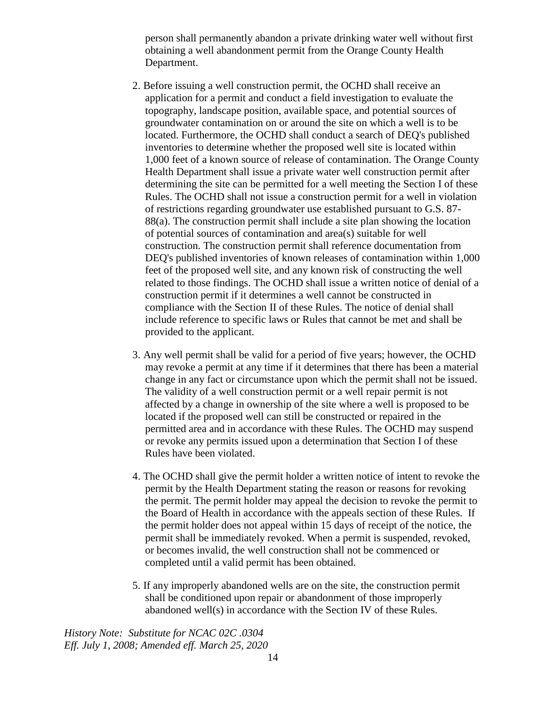person shall permanently abandon a private drinking water well without first obtaining a well abandonment permit from the Orange County Health Department.

- 2. Before issuing a well construction permit, the OCHD shall receive an application for a permit and conduct a field investigation to evaluate the topography, landscape position, available space, and potential sources of groundwater contamination on or around the site on which a well is to be located. Furthermore, the OCHD shall conduct a search of DEQ's published inventories to determine whether the proposed well site is located within 1,000 feet of a known source of release of contamination. The Orange County Health Department shall issue a private water well construction permit after determining the site can be permitted for a well meeting the Section I of these Rules. The OCHD shall not issue a construction permit for a well in violation of restrictions regarding groundwater use established pursuant to G.S. 87- 88(a). The construction permit shall include a site plan showing the location of potential sources of contamination and area(s) suitable for well construction. The construction permit shall reference documentation from DEQ's published inventories of known releases of contamination within 1,000 feet of the proposed well site, and any known risk of constructing the well related to those findings. The OCHD shall issue a written notice of denial of a construction permit if it determines a well cannot be constructed in compliance with the Section II of these Rules. The notice of denial shall include reference to specific laws or Rules that cannot be met and shall be provided to the applicant.
- 3. Any well permit shall be valid for a period of five years; however, the OCHD may revoke a permit at any time if it determines that there has been a material change in any fact or circumstance upon which the permit shall not be issued. The validity of a well construction permit or a well repair permit is not affected by a change in ownership of the site where a well is proposed to be located if the proposed well can still be constructed or repaired in the permitted area and in accordance with these Rules. The OCHD may suspend or revoke any permits issued upon a determination that Section I of these Rules have been violated.
- 4. The OCHD shall give the permit holder a written notice of intent to revoke the permit by the Health Department stating the reason or reasons for revoking the permit. The permit holder may appeal the decision to revoke the permit to the Board of Health in accordance with the appeals section of these Rules. If the permit holder does not appeal within 15 days of receipt of the notice, the permit shall be immediately revoked. When a permit is suspended, revoked, or becomes invalid, the well construction shall not be commenced or completed until a valid permit has been obtained.
- 5. If any improperly abandoned wells are on the site, the construction permit shall be conditioned upon repair or abandonment of those improperly abandoned well(s) in accordance with the Section IV of these Rules.

*History Note: Substitute for NCAC 02C .0304 Eff. July 1, 2008; Amended eff. March 25, 2020*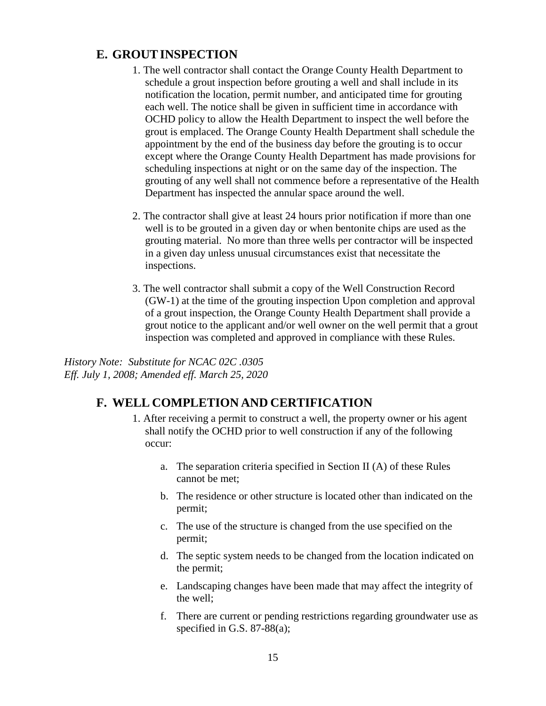#### **E. GROUTINSPECTION**

- 1. The well contractor shall contact the Orange County Health Department to schedule a grout inspection before grouting a well and shall include in its notification the location, permit number, and anticipated time for grouting each well. The notice shall be given in sufficient time in accordance with OCHD policy to allow the Health Department to inspect the well before the grout is emplaced. The Orange County Health Department shall schedule the appointment by the end of the business day before the grouting is to occur except where the Orange County Health Department has made provisions for scheduling inspections at night or on the same day of the inspection. The grouting of any well shall not commence before a representative of the Health Department has inspected the annular space around the well.
- 2. The contractor shall give at least 24 hours prior notification if more than one well is to be grouted in a given day or when bentonite chips are used as the grouting material. No more than three wells per contractor will be inspected in a given day unless unusual circumstances exist that necessitate the inspections.
- 3. The well contractor shall submit a copy of the Well Construction Record (GW-1) at the time of the grouting inspection Upon completion and approval of a grout inspection, the Orange County Health Department shall provide a grout notice to the applicant and/or well owner on the well permit that a grout inspection was completed and approved in compliance with these Rules.

*History Note: Substitute for NCAC 02C .0305 Eff. July 1, 2008; Amended eff. March 25, 2020*

#### **F. WELL COMPLETION AND CERTIFICATION**

- 1. After receiving a permit to construct a well, the property owner or his agent shall notify the OCHD prior to well construction if any of the following occur:
	- a. The separation criteria specified in Section II (A) of these Rules cannot be met;
	- b. The residence or other structure is located other than indicated on the permit;
	- c. The use of the structure is changed from the use specified on the permit;
	- d. The septic system needs to be changed from the location indicated on the permit;
	- e. Landscaping changes have been made that may affect the integrity of the well;
	- f. There are current or pending restrictions regarding groundwater use as specified in G.S. 87-88(a);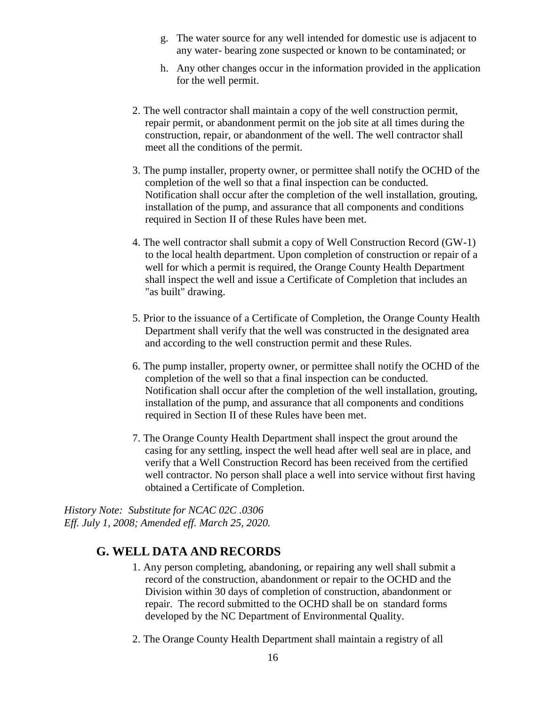- g. The water source for any well intended for domestic use is adjacent to any water- bearing zone suspected or known to be contaminated; or
- h. Any other changes occur in the information provided in the application for the well permit.
- 2. The well contractor shall maintain a copy of the well construction permit, repair permit, or abandonment permit on the job site at all times during the construction, repair, or abandonment of the well. The well contractor shall meet all the conditions of the permit.
- 3. The pump installer, property owner, or permittee shall notify the OCHD of the completion of the well so that a final inspection can be conducted. Notification shall occur after the completion of the well installation, grouting, installation of the pump, and assurance that all components and conditions required in Section II of these Rules have been met.
- 4. The well contractor shall submit a copy of Well Construction Record (GW-1) to the local health department. Upon completion of construction or repair of a well for which a permit is required, the Orange County Health Department shall inspect the well and issue a Certificate of Completion that includes an "as built" drawing.
- 5. Prior to the issuance of a Certificate of Completion, the Orange County Health Department shall verify that the well was constructed in the designated area and according to the well construction permit and these Rules.
- 6. The pump installer, property owner, or permittee shall notify the OCHD of the completion of the well so that a final inspection can be conducted. Notification shall occur after the completion of the well installation, grouting, installation of the pump, and assurance that all components and conditions required in Section II of these Rules have been met.
- 7. The Orange County Health Department shall inspect the grout around the casing for any settling, inspect the well head after well seal are in place, and verify that a Well Construction Record has been received from the certified well contractor. No person shall place a well into service without first having obtained a Certificate of Completion.

*History Note: Substitute for NCAC 02C .0306 Eff. July 1, 2008; Amended eff. March 25, 2020.*

#### **G. WELL DATA AND RECORDS**

- 1. Any person completing, abandoning, or repairing any well shall submit a record of the construction, abandonment or repair to the OCHD and the Division within 30 days of completion of construction, abandonment or repair. The record submitted to the OCHD shall be on standard forms developed by the NC Department of Environmental Quality.
- 2. The Orange County Health Department shall maintain a registry of all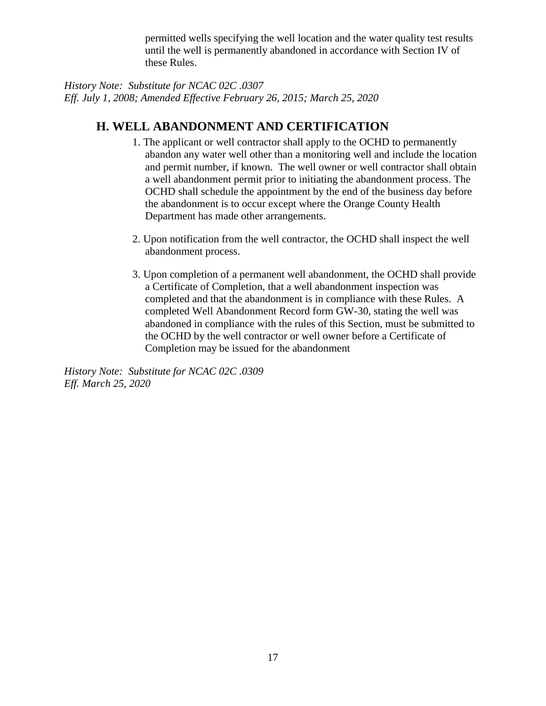permitted wells specifying the well location and the water quality test results until the well is permanently abandoned in accordance with Section IV of these Rules.

*History Note: Substitute for NCAC 02C .0307 Eff. July 1, 2008; Amended Effective February 26, 2015; March 25, 2020*

### **H. WELL ABANDONMENT AND CERTIFICATION**

- 1. The applicant or well contractor shall apply to the OCHD to permanently abandon any water well other than a monitoring well and include the location and permit number, if known. The well owner or well contractor shall obtain a well abandonment permit prior to initiating the abandonment process. The OCHD shall schedule the appointment by the end of the business day before the abandonment is to occur except where the Orange County Health Department has made other arrangements.
- 2. Upon notification from the well contractor, the OCHD shall inspect the well abandonment process.
- 3. Upon completion of a permanent well abandonment, the OCHD shall provide a Certificate of Completion, that a well abandonment inspection was completed and that the abandonment is in compliance with these Rules. A completed Well Abandonment Record form GW-30, stating the well was abandoned in compliance with the rules of this Section, must be submitted to the OCHD by the well contractor or well owner before a Certificate of Completion may be issued for the abandonment

*History Note: Substitute for NCAC 02C .0309 Eff. March 25, 2020*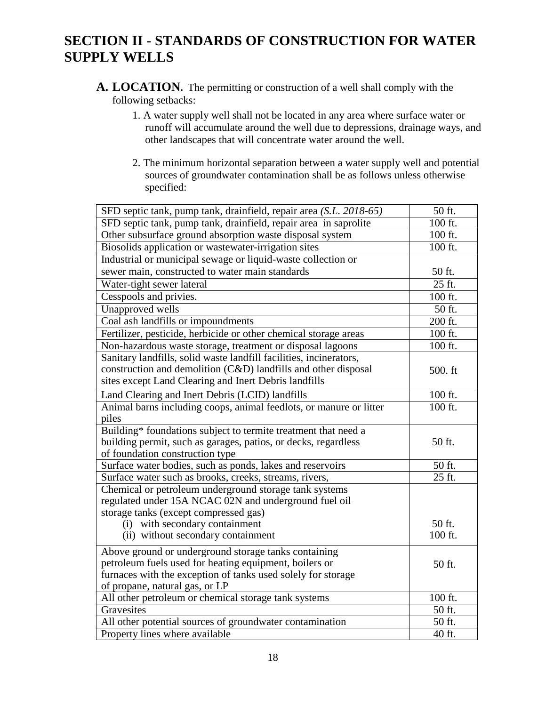## **SECTION II - STANDARDS OF CONSTRUCTION FOR WATER SUPPLY WELLS**

- **A. LOCATION.** The permitting or construction of a well shall comply with the following setbacks:
	- 1. A water supply well shall not be located in any area where surface water or runoff will accumulate around the well due to depressions, drainage ways, and other landscapes that will concentrate water around the well.
	- 2. The minimum horizontal separation between a water supply well and potential sources of groundwater contamination shall be as follows unless otherwise specified:

| SFD septic tank, pump tank, drainfield, repair area (S.L. 2018-65) | 50 ft.              |
|--------------------------------------------------------------------|---------------------|
| SFD septic tank, pump tank, drainfield, repair area in saprolite   | 100 ft.             |
| Other subsurface ground absorption waste disposal system           | 100 ft.             |
| Biosolids application or wastewater-irrigation sites               | 100 ft.             |
| Industrial or municipal sewage or liquid-waste collection or       |                     |
| sewer main, constructed to water main standards                    | 50 ft.              |
| Water-tight sewer lateral                                          | $25$ ft.            |
| Cesspools and privies.                                             | 100 ft.             |
| Unapproved wells                                                   | 50 ft.              |
| Coal ash landfills or impoundments                                 | 200 ft.             |
| Fertilizer, pesticide, herbicide or other chemical storage areas   | 100 ft.             |
| Non-hazardous waste storage, treatment or disposal lagoons         | 100 ft.             |
| Sanitary landfills, solid waste landfill facilities, incinerators, |                     |
| construction and demolition (C&D) landfills and other disposal     | 500. ft             |
| sites except Land Clearing and Inert Debris landfills              |                     |
| Land Clearing and Inert Debris (LCID) landfills                    | 100 ft.             |
| Animal barns including coops, animal feedlots, or manure or litter | 100 ft.             |
| piles                                                              |                     |
| Building* foundations subject to termite treatment that need a     |                     |
| building permit, such as garages, patios, or decks, regardless     | 50 ft.              |
| of foundation construction type                                    |                     |
| Surface water bodies, such as ponds, lakes and reservoirs          | 50 ft.              |
| Surface water such as brooks, creeks, streams, rivers,             | $\overline{25}$ ft. |
| Chemical or petroleum underground storage tank systems             |                     |
| regulated under 15A NCAC 02N and underground fuel oil              |                     |
| storage tanks (except compressed gas)                              |                     |
| (i) with secondary containment                                     | 50 ft.              |
| (ii) without secondary containment                                 | 100 ft.             |
| Above ground or underground storage tanks containing               |                     |
| petroleum fuels used for heating equipment, boilers or             | 50 ft.              |
| furnaces with the exception of tanks used solely for storage       |                     |
| of propane, natural gas, or LP                                     |                     |
| All other petroleum or chemical storage tank systems               | 100 ft.             |
| Gravesites                                                         | 50 ft.              |
| All other potential sources of groundwater contamination           | 50 ft.              |
| Property lines where available                                     | 40 ft.              |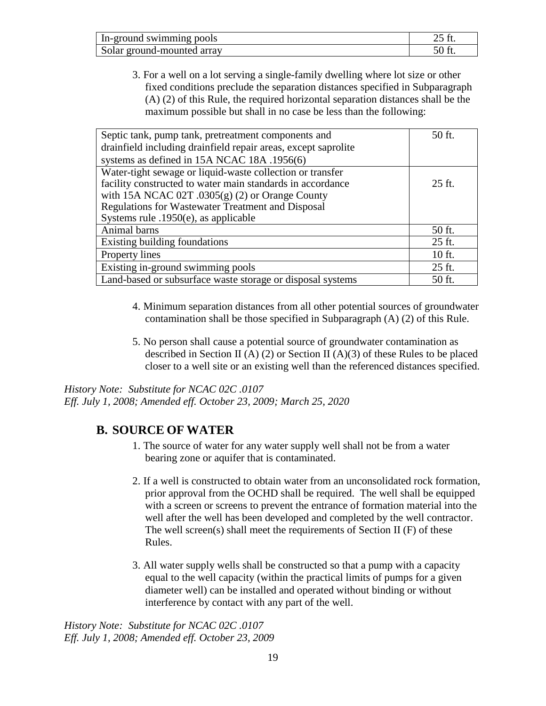| In-ground swimming pools   |  |
|----------------------------|--|
| Solar ground-mounted array |  |

3. For a well on a lot serving a single-family dwelling where lot size or other fixed conditions preclude the separation distances specified in Subparagraph (A) (2) of this Rule, the required horizontal separation distances shall be the maximum possible but shall in no case be less than the following:

| Septic tank, pump tank, pretreatment components and            | 50 ft. |
|----------------------------------------------------------------|--------|
| drainfield including drainfield repair areas, except saprolite |        |
| systems as defined in 15A NCAC 18A .1956(6)                    |        |
| Water-tight sewage or liquid-waste collection or transfer      |        |
| facility constructed to water main standards in accordance     | 25 ft. |
| with 15A NCAC 02T $.0305(g)$ (2) or Orange County              |        |
| Regulations for Wastewater Treatment and Disposal              |        |
| Systems rule $.1950(e)$ , as applicable                        |        |
| Animal barns                                                   | 50 ft. |
| Existing building foundations                                  | 25 ft. |
| Property lines                                                 | 10 ft. |
| Existing in-ground swimming pools                              | 25 ft. |
| Land-based or subsurface waste storage or disposal systems     | 50 ft. |

- 4. Minimum separation distances from all other potential sources of groundwater contamination shall be those specified in Subparagraph (A) (2) of this Rule.
- 5. No person shall cause a potential source of groundwater contamination as described in Section II (A) (2) or Section II (A)(3) of these Rules to be placed closer to a well site or an existing well than the referenced distances specified.

*History Note: Substitute for NCAC 02C .0107 Eff. July 1, 2008; Amended eff. October 23, 2009; March 25, 2020*

#### **B. SOURCE OF WATER**

- 1. The source of water for any water supply well shall not be from a water bearing zone or aquifer that is contaminated.
- 2. If a well is constructed to obtain water from an unconsolidated rock formation, prior approval from the OCHD shall be required. The well shall be equipped with a screen or screens to prevent the entrance of formation material into the well after the well has been developed and completed by the well contractor. The well screen(s) shall meet the requirements of Section II  $(F)$  of these Rules.
- 3. All water supply wells shall be constructed so that a pump with a capacity equal to the well capacity (within the practical limits of pumps for a given diameter well) can be installed and operated without binding or without interference by contact with any part of the well.

*History Note: Substitute for NCAC 02C .0107 Eff. July 1, 2008; Amended eff. October 23, 2009*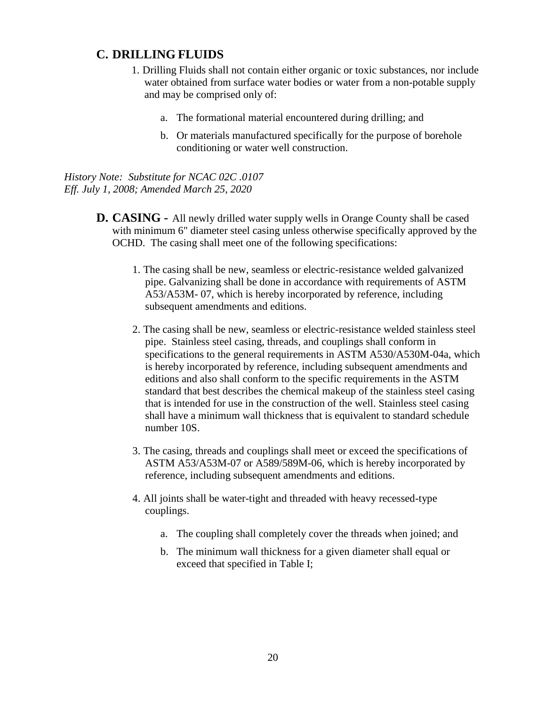#### **C. DRILLING FLUIDS**

- 1. Drilling Fluids shall not contain either organic or toxic substances, nor include water obtained from surface water bodies or water from a non-potable supply and may be comprised only of:
	- a. The formational material encountered during drilling; and
	- b. Or materials manufactured specifically for the purpose of borehole conditioning or water well construction.

*History Note: Substitute for NCAC 02C .0107 Eff. July 1, 2008; Amended March 25, 2020*

- **D. CASING -** All newly drilled water supply wells in Orange County shall be cased with minimum 6" diameter steel casing unless otherwise specifically approved by the OCHD. The casing shall meet one of the following specifications:
	- 1. The casing shall be new, seamless or electric-resistance welded galvanized pipe. Galvanizing shall be done in accordance with requirements of ASTM A53/A53M- 07, which is hereby incorporated by reference, including subsequent amendments and editions.
	- 2. The casing shall be new, seamless or electric-resistance welded stainless steel pipe. Stainless steel casing, threads, and couplings shall conform in specifications to the general requirements in ASTM A530/A530M-04a, which is hereby incorporated by reference, including subsequent amendments and editions and also shall conform to the specific requirements in the ASTM standard that best describes the chemical makeup of the stainless steel casing that is intended for use in the construction of the well. Stainless steel casing shall have a minimum wall thickness that is equivalent to standard schedule number 10S.
	- 3. The casing, threads and couplings shall meet or exceed the specifications of ASTM A53/A53M-07 or A589/589M-06, which is hereby incorporated by reference, including subsequent amendments and editions.
	- 4. All joints shall be water-tight and threaded with heavy recessed-type couplings.
		- a. The coupling shall completely cover the threads when joined; and
		- b. The minimum wall thickness for a given diameter shall equal or exceed that specified in Table I;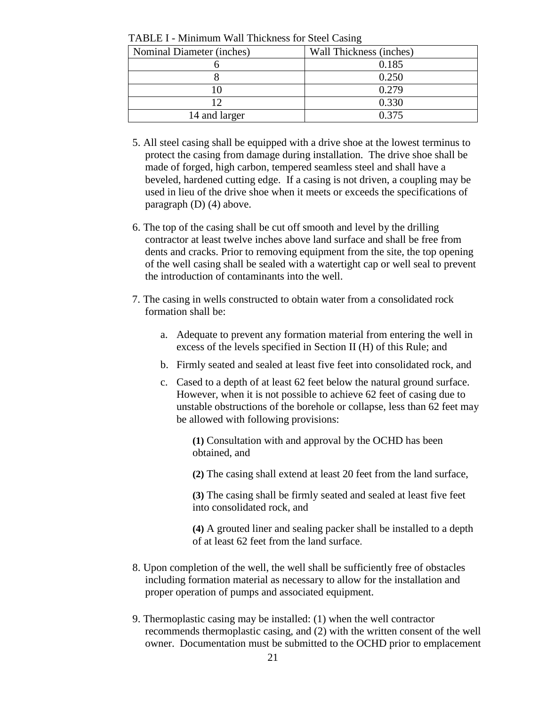| Nominal Diameter (inches) | Wall Thickness (inches) |
|---------------------------|-------------------------|
|                           | 0.185                   |
|                           | 0.250                   |
|                           | 0.279                   |
|                           | 0.330                   |
| 14 and larger             | 0.375                   |

TABLE I - Minimum Wall Thickness for Steel Casing

- 5. All steel casing shall be equipped with a drive shoe at the lowest terminus to protect the casing from damage during installation. The drive shoe shall be made of forged, high carbon, tempered seamless steel and shall have a beveled, hardened cutting edge. If a casing is not driven, a coupling may be used in lieu of the drive shoe when it meets or exceeds the specifications of paragraph (D) (4) above.
- 6. The top of the casing shall be cut off smooth and level by the drilling contractor at least twelve inches above land surface and shall be free from dents and cracks. Prior to removing equipment from the site, the top opening of the well casing shall be sealed with a watertight cap or well seal to prevent the introduction of contaminants into the well.
- 7. The casing in wells constructed to obtain water from a consolidated rock formation shall be:
	- a. Adequate to prevent any formation material from entering the well in excess of the levels specified in Section II (H) of this Rule; and
	- b. Firmly seated and sealed at least five feet into consolidated rock, and
	- c. Cased to a depth of at least 62 feet below the natural ground surface. However, when it is not possible to achieve 62 feet of casing due to unstable obstructions of the borehole or collapse, less than 62 feet may be allowed with following provisions:

**(1)** Consultation with and approval by the OCHD has been obtained, and

**(2)** The casing shall extend at least 20 feet from the land surface,

**(3)** The casing shall be firmly seated and sealed at least five feet into consolidated rock, and

**(4)** A grouted liner and sealing packer shall be installed to a depth of at least 62 feet from the land surface.

- 8. Upon completion of the well, the well shall be sufficiently free of obstacles including formation material as necessary to allow for the installation and proper operation of pumps and associated equipment.
- 9. Thermoplastic casing may be installed: (1) when the well contractor recommends thermoplastic casing, and (2) with the written consent of the well owner. Documentation must be submitted to the OCHD prior to emplacement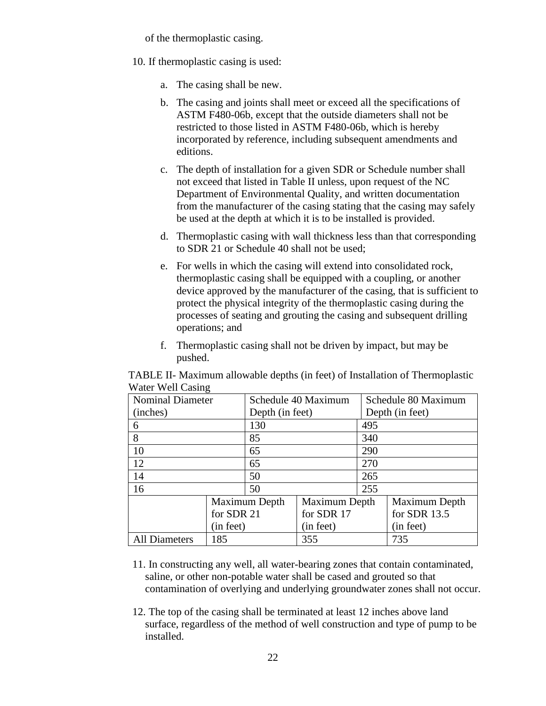of the thermoplastic casing.

- 10. If thermoplastic casing is used:
	- a. The casing shall be new.
	- b. The casing and joints shall meet or exceed all the specifications of ASTM F480-06b, except that the outside diameters shall not be restricted to those listed in ASTM F480-06b, which is hereby incorporated by reference, including subsequent amendments and editions.
	- c. The depth of installation for a given SDR or Schedule number shall not exceed that listed in Table II unless, upon request of the NC Department of Environmental Quality, and written documentation from the manufacturer of the casing stating that the casing may safely be used at the depth at which it is to be installed is provided.
	- d. Thermoplastic casing with wall thickness less than that corresponding to SDR 21 or Schedule 40 shall not be used;
	- e. For wells in which the casing will extend into consolidated rock, thermoplastic casing shall be equipped with a coupling, or another device approved by the manufacturer of the casing, that is sufficient to protect the physical integrity of the thermoplastic casing during the processes of seating and grouting the casing and subsequent drilling operations; and
	- f. Thermoplastic casing shall not be driven by impact, but may be pushed.

TABLE II- Maximum allowable depths (in feet) of Installation of Thermoplastic Water Well Casing

| <b>Nominal Diameter</b> |            | Schedule 40 Maximum |               | Schedule 80 Maximum |               |
|-------------------------|------------|---------------------|---------------|---------------------|---------------|
| (inches)                |            | Depth (in feet)     |               | Depth (in feet)     |               |
| 6                       |            | 130                 |               | 495                 |               |
| 8                       |            | 85                  |               | 340                 |               |
| 10                      |            | 65                  |               | 290                 |               |
| 12                      |            | 65                  |               | 270                 |               |
| 14                      |            | 50                  |               | 265                 |               |
| 16                      |            | 50                  |               | 255                 |               |
|                         |            | Maximum Depth       | Maximum Depth |                     | Maximum Depth |
|                         | for SDR 21 |                     | for SDR 17    |                     | for SDR 13.5  |
|                         | (in feet)  |                     | (in feet)     |                     | (in feet)     |
| <b>All Diameters</b>    | 185        |                     | 355           |                     | 735           |

- 11. In constructing any well, all water-bearing zones that contain contaminated, saline, or other non-potable water shall be cased and grouted so that contamination of overlying and underlying groundwater zones shall not occur.
- 12. The top of the casing shall be terminated at least 12 inches above land surface, regardless of the method of well construction and type of pump to be installed.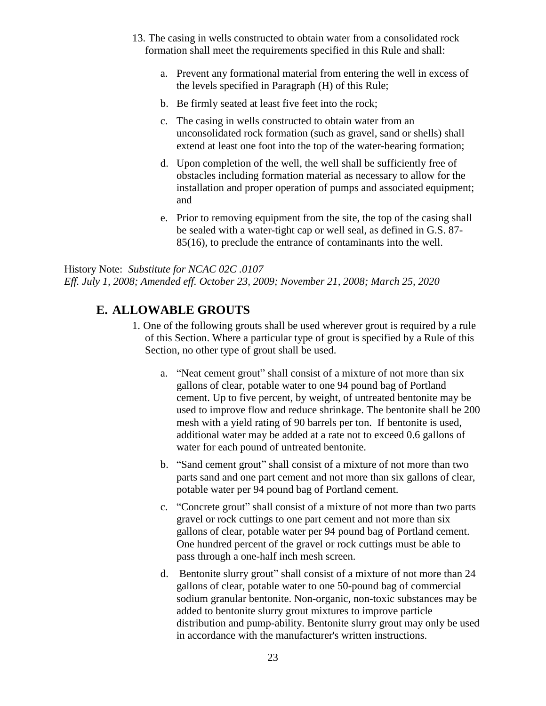- 13. The casing in wells constructed to obtain water from a consolidated rock formation shall meet the requirements specified in this Rule and shall:
	- a. Prevent any formational material from entering the well in excess of the levels specified in Paragraph (H) of this Rule;
	- b. Be firmly seated at least five feet into the rock;
	- c. The casing in wells constructed to obtain water from an unconsolidated rock formation (such as gravel, sand or shells) shall extend at least one foot into the top of the water-bearing formation;
	- d. Upon completion of the well, the well shall be sufficiently free of obstacles including formation material as necessary to allow for the installation and proper operation of pumps and associated equipment; and
	- e. Prior to removing equipment from the site, the top of the casing shall be sealed with a water-tight cap or well seal, as defined in G.S. 87- 85(16), to preclude the entrance of contaminants into the well.

History Note: *Substitute for NCAC 02C .0107 Eff. July 1, 2008; Amended eff. October 23, 2009; November 21, 2008; March 25, 2020*

### **E. ALLOWABLE GROUTS**

- 1. One of the following grouts shall be used wherever grout is required by a rule of this Section. Where a particular type of grout is specified by a Rule of this Section, no other type of grout shall be used.
	- a. "Neat cement grout" shall consist of a mixture of not more than six gallons of clear, potable water to one 94 pound bag of Portland cement. Up to five percent, by weight, of untreated bentonite may be used to improve flow and reduce shrinkage. The bentonite shall be 200 mesh with a yield rating of 90 barrels per ton. If bentonite is used, additional water may be added at a rate not to exceed 0.6 gallons of water for each pound of untreated bentonite.
	- b. "Sand cement grout" shall consist of a mixture of not more than two parts sand and one part cement and not more than six gallons of clear, potable water per 94 pound bag of Portland cement.
	- c. "Concrete grout" shall consist of a mixture of not more than two parts gravel or rock cuttings to one part cement and not more than six gallons of clear, potable water per 94 pound bag of Portland cement. One hundred percent of the gravel or rock cuttings must be able to pass through a one-half inch mesh screen.
	- d. Bentonite slurry grout" shall consist of a mixture of not more than 24 gallons of clear, potable water to one 50-pound bag of commercial sodium granular bentonite. Non-organic, non-toxic substances may be added to bentonite slurry grout mixtures to improve particle distribution and pump-ability. Bentonite slurry grout may only be used in accordance with the manufacturer's written instructions.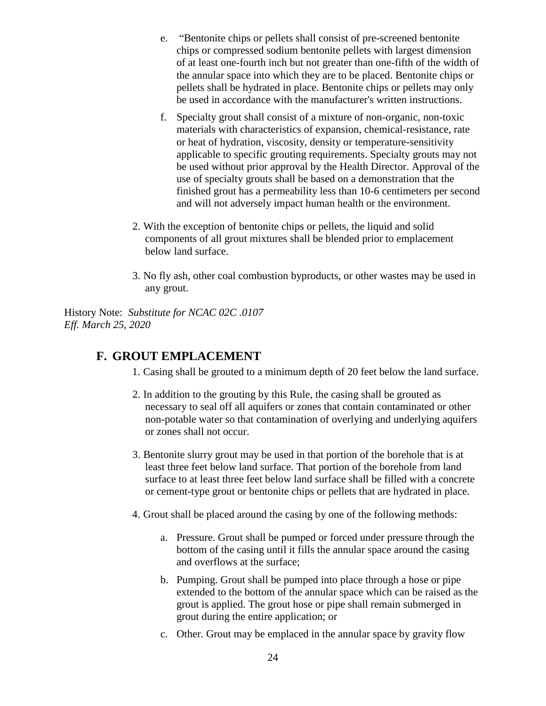- e. "Bentonite chips or pellets shall consist of pre-screened bentonite chips or compressed sodium bentonite pellets with largest dimension of at least one-fourth inch but not greater than one-fifth of the width of the annular space into which they are to be placed. Bentonite chips or pellets shall be hydrated in place. Bentonite chips or pellets may only be used in accordance with the manufacturer's written instructions.
- f. Specialty grout shall consist of a mixture of non-organic, non-toxic materials with characteristics of expansion, chemical-resistance, rate or heat of hydration, viscosity, density or temperature-sensitivity applicable to specific grouting requirements. Specialty grouts may not be used without prior approval by the Health Director. Approval of the use of specialty grouts shall be based on a demonstration that the finished grout has a permeability less than 10-6 centimeters per second and will not adversely impact human health or the environment.
- 2. With the exception of bentonite chips or pellets, the liquid and solid components of all grout mixtures shall be blended prior to emplacement below land surface.
- 3. No fly ash, other coal combustion byproducts, or other wastes may be used in any grout.

History Note: *Substitute for NCAC 02C .0107 Eff. March 25, 2020*

#### **F. GROUT EMPLACEMENT**

- 1. Casing shall be grouted to a minimum depth of 20 feet below the land surface.
- 2. In addition to the grouting by this Rule, the casing shall be grouted as necessary to seal off all aquifers or zones that contain contaminated or other non-potable water so that contamination of overlying and underlying aquifers or zones shall not occur.
- 3. Bentonite slurry grout may be used in that portion of the borehole that is at least three feet below land surface. That portion of the borehole from land surface to at least three feet below land surface shall be filled with a concrete or cement-type grout or bentonite chips or pellets that are hydrated in place.
- 4. Grout shall be placed around the casing by one of the following methods:
	- a. Pressure. Grout shall be pumped or forced under pressure through the bottom of the casing until it fills the annular space around the casing and overflows at the surface;
	- b. Pumping. Grout shall be pumped into place through a hose or pipe extended to the bottom of the annular space which can be raised as the grout is applied. The grout hose or pipe shall remain submerged in grout during the entire application; or
	- c. Other. Grout may be emplaced in the annular space by gravity flow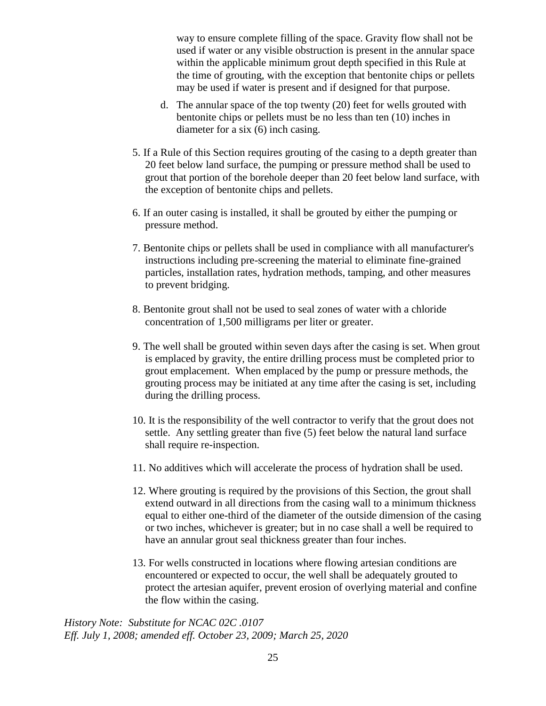way to ensure complete filling of the space. Gravity flow shall not be used if water or any visible obstruction is present in the annular space within the applicable minimum grout depth specified in this Rule at the time of grouting, with the exception that bentonite chips or pellets may be used if water is present and if designed for that purpose.

- d. The annular space of the top twenty (20) feet for wells grouted with bentonite chips or pellets must be no less than ten (10) inches in diameter for a six (6) inch casing.
- 5. If a Rule of this Section requires grouting of the casing to a depth greater than 20 feet below land surface, the pumping or pressure method shall be used to grout that portion of the borehole deeper than 20 feet below land surface, with the exception of bentonite chips and pellets.
- 6. If an outer casing is installed, it shall be grouted by either the pumping or pressure method.
- 7. Bentonite chips or pellets shall be used in compliance with all manufacturer's instructions including pre-screening the material to eliminate fine-grained particles, installation rates, hydration methods, tamping, and other measures to prevent bridging.
- 8. Bentonite grout shall not be used to seal zones of water with a chloride concentration of 1,500 milligrams per liter or greater.
- 9. The well shall be grouted within seven days after the casing is set. When grout is emplaced by gravity, the entire drilling process must be completed prior to grout emplacement. When emplaced by the pump or pressure methods, the grouting process may be initiated at any time after the casing is set, including during the drilling process.
- 10. It is the responsibility of the well contractor to verify that the grout does not settle. Any settling greater than five (5) feet below the natural land surface shall require re-inspection.
- 11. No additives which will accelerate the process of hydration shall be used.
- 12. Where grouting is required by the provisions of this Section, the grout shall extend outward in all directions from the casing wall to a minimum thickness equal to either one-third of the diameter of the outside dimension of the casing or two inches, whichever is greater; but in no case shall a well be required to have an annular grout seal thickness greater than four inches.
- 13. For wells constructed in locations where flowing artesian conditions are encountered or expected to occur, the well shall be adequately grouted to protect the artesian aquifer, prevent erosion of overlying material and confine the flow within the casing.

*History Note: Substitute for NCAC 02C .0107 Eff. July 1, 2008; amended eff. October 23, 2009; March 25, 2020*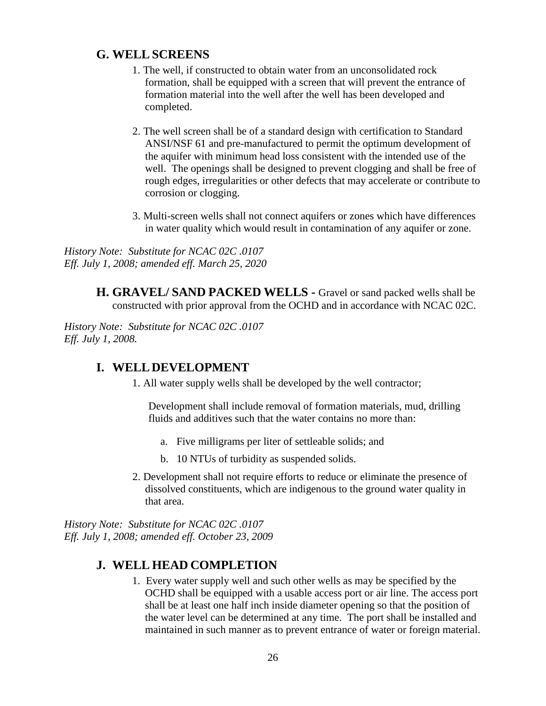#### **G. WELLSCREENS**

- 1. The well, if constructed to obtain water from an unconsolidated rock formation, shall be equipped with a screen that will prevent the entrance of formation material into the well after the well has been developed and completed.
- 2. The well screen shall be of a standard design with certification to Standard ANSI/NSF 61 and pre-manufactured to permit the optimum development of the aquifer with minimum head loss consistent with the intended use of the well. The openings shall be designed to prevent clogging and shall be free of rough edges, irregularities or other defects that may accelerate or contribute to corrosion or clogging.
- 3. Multi-screen wells shall not connect aquifers or zones which have differences in water quality which would result in contamination of any aquifer or zone.

*History Note: Substitute for NCAC 02C .0107 Eff. July 1, 2008; amended eff. March 25, 2020*

> **H. GRAVEL/ SAND PACKED WELLS -** Gravel or sand packed wells shall be constructed with prior approval from the OCHD and in accordance with NCAC 02C.

*History Note: Substitute for NCAC 02C .0107 Eff. July 1, 2008.*

#### **I. WELLDEVELOPMENT**

1. All water supply wells shall be developed by the well contractor;

Development shall include removal of formation materials, mud, drilling fluids and additives such that the water contains no more than:

- a. Five milligrams per liter of settleable solids; and
- b. 10 NTUs of turbidity as suspended solids.
- 2. Development shall not require efforts to reduce or eliminate the presence of dissolved constituents, which are indigenous to the ground water quality in that area.

*History Note: Substitute for NCAC 02C .0107 Eff. July 1, 2008; amended eff. October 23, 2009*

### **J. WELL HEAD COMPLETION**

1. Every water supply well and such other wells as may be specified by the OCHD shall be equipped with a usable access port or air line. The access port shall be at least one half inch inside diameter opening so that the position of the water level can be determined at any time. The port shall be installed and maintained in such manner as to prevent entrance of water or foreign material.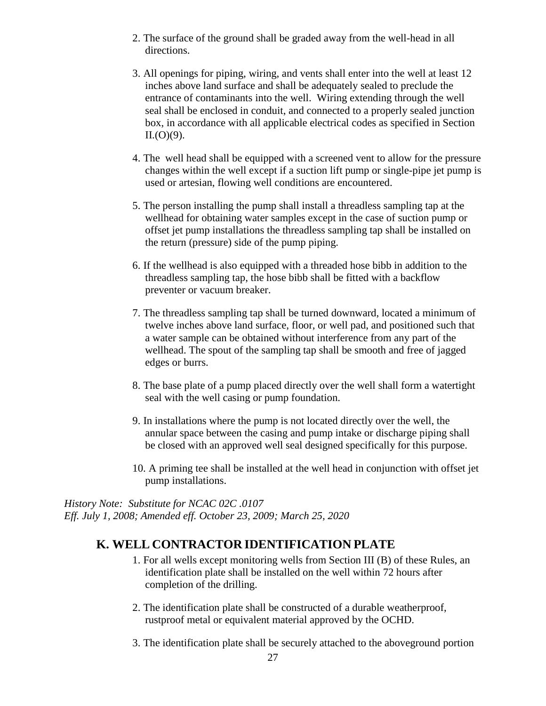- 2. The surface of the ground shall be graded away from the well-head in all directions.
- 3. All openings for piping, wiring, and vents shall enter into the well at least 12 inches above land surface and shall be adequately sealed to preclude the entrance of contaminants into the well. Wiring extending through the well seal shall be enclosed in conduit, and connected to a properly sealed junction box, in accordance with all applicable electrical codes as specified in Section  $II.(O)(9)$ .
- 4. The well head shall be equipped with a screened vent to allow for the pressure changes within the well except if a suction lift pump or single-pipe jet pump is used or artesian, flowing well conditions are encountered.
- 5. The person installing the pump shall install a threadless sampling tap at the wellhead for obtaining water samples except in the case of suction pump or offset jet pump installations the threadless sampling tap shall be installed on the return (pressure) side of the pump piping.
- 6. If the wellhead is also equipped with a threaded hose bibb in addition to the threadless sampling tap, the hose bibb shall be fitted with a backflow preventer or vacuum breaker.
- 7. The threadless sampling tap shall be turned downward, located a minimum of twelve inches above land surface, floor, or well pad, and positioned such that a water sample can be obtained without interference from any part of the wellhead. The spout of the sampling tap shall be smooth and free of jagged edges or burrs.
- 8. The base plate of a pump placed directly over the well shall form a watertight seal with the well casing or pump foundation.
- 9. In installations where the pump is not located directly over the well, the annular space between the casing and pump intake or discharge piping shall be closed with an approved well seal designed specifically for this purpose.
- 10. A priming tee shall be installed at the well head in conjunction with offset jet pump installations.

*History Note: Substitute for NCAC 02C .0107 Eff. July 1, 2008; Amended eff. October 23, 2009; March 25, 2020*

### **K. WELL CONTRACTOR IDENTIFICATION PLATE**

- 1. For all wells except monitoring wells from Section III (B) of these Rules, an identification plate shall be installed on the well within 72 hours after completion of the drilling.
- 2. The identification plate shall be constructed of a durable weatherproof, rustproof metal or equivalent material approved by the OCHD.
- 3. The identification plate shall be securely attached to the aboveground portion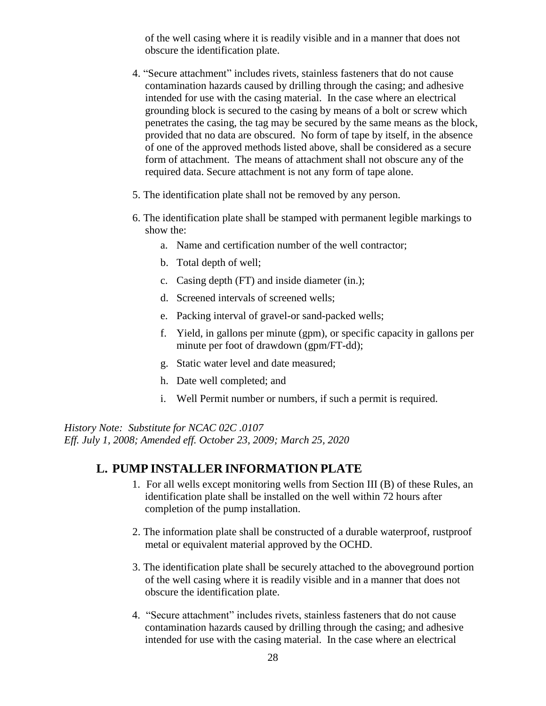of the well casing where it is readily visible and in a manner that does not obscure the identification plate.

- 4. "Secure attachment" includes rivets, stainless fasteners that do not cause contamination hazards caused by drilling through the casing; and adhesive intended for use with the casing material. In the case where an electrical grounding block is secured to the casing by means of a bolt or screw which penetrates the casing, the tag may be secured by the same means as the block, provided that no data are obscured. No form of tape by itself, in the absence of one of the approved methods listed above, shall be considered as a secure form of attachment. The means of attachment shall not obscure any of the required data. Secure attachment is not any form of tape alone.
- 5. The identification plate shall not be removed by any person.
- 6. The identification plate shall be stamped with permanent legible markings to show the:
	- a. Name and certification number of the well contractor;
	- b. Total depth of well;
	- c. Casing depth (FT) and inside diameter (in.);
	- d. Screened intervals of screened wells;
	- e. Packing interval of gravel-or sand-packed wells;
	- f. Yield, in gallons per minute (gpm), or specific capacity in gallons per minute per foot of drawdown (gpm/FT-dd);
	- g. Static water level and date measured;
	- h. Date well completed; and
	- i. Well Permit number or numbers, if such a permit is required.

*History Note: Substitute for NCAC 02C .0107*

*Eff. July 1, 2008; Amended eff. October 23, 2009; March 25, 2020*

#### **L. PUMP INSTALLER INFORMATION PLATE**

- 1. For all wells except monitoring wells from Section III (B) of these Rules, an identification plate shall be installed on the well within 72 hours after completion of the pump installation.
- 2. The information plate shall be constructed of a durable waterproof, rustproof metal or equivalent material approved by the OCHD.
- 3. The identification plate shall be securely attached to the aboveground portion of the well casing where it is readily visible and in a manner that does not obscure the identification plate.
- 4. "Secure attachment" includes rivets, stainless fasteners that do not cause contamination hazards caused by drilling through the casing; and adhesive intended for use with the casing material. In the case where an electrical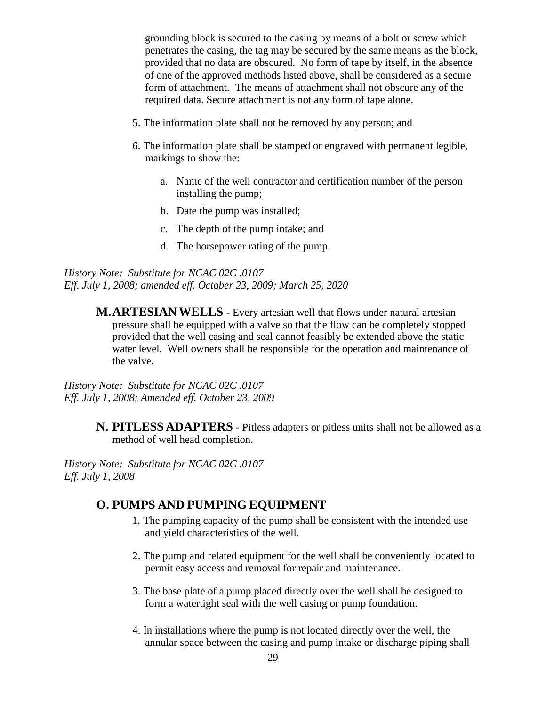grounding block is secured to the casing by means of a bolt or screw which penetrates the casing, the tag may be secured by the same means as the block, provided that no data are obscured. No form of tape by itself, in the absence of one of the approved methods listed above, shall be considered as a secure form of attachment. The means of attachment shall not obscure any of the required data. Secure attachment is not any form of tape alone.

- 5. The information plate shall not be removed by any person; and
- 6. The information plate shall be stamped or engraved with permanent legible, markings to show the:
	- a. Name of the well contractor and certification number of the person installing the pump;
	- b. Date the pump was installed;
	- c. The depth of the pump intake; and
	- d. The horsepower rating of the pump.

*History Note: Substitute for NCAC 02C .0107 Eff. July 1, 2008; amended eff. October 23, 2009; March 25, 2020*

> **M.ARTESIANWELLS -** Every artesian well that flows under natural artesian pressure shall be equipped with a valve so that the flow can be completely stopped provided that the well casing and seal cannot feasibly be extended above the static water level. Well owners shall be responsible for the operation and maintenance of the valve.

*History Note: Substitute for NCAC 02C .0107 Eff. July 1, 2008; Amended eff. October 23, 2009*

> **N. PITLESS ADAPTERS** - Pitless adapters or pitless units shall not be allowed as a method of well head completion.

*History Note: Substitute for NCAC 02C .0107 Eff. July 1, 2008*

#### **O. PUMPS AND PUMPING EQUIPMENT**

- 1. The pumping capacity of the pump shall be consistent with the intended use and yield characteristics of the well.
- 2. The pump and related equipment for the well shall be conveniently located to permit easy access and removal for repair and maintenance.
- 3. The base plate of a pump placed directly over the well shall be designed to form a watertight seal with the well casing or pump foundation.
- 4. In installations where the pump is not located directly over the well, the annular space between the casing and pump intake or discharge piping shall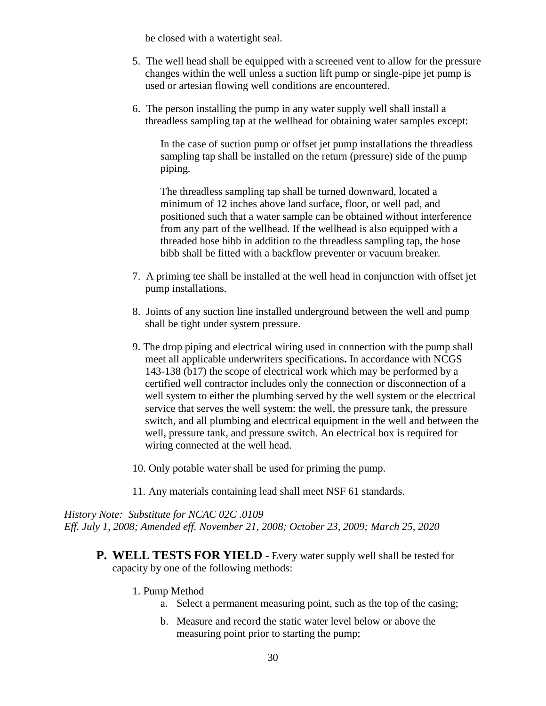be closed with a watertight seal.

- 5. The well head shall be equipped with a screened vent to allow for the pressure changes within the well unless a suction lift pump or single-pipe jet pump is used or artesian flowing well conditions are encountered.
- 6. The person installing the pump in any water supply well shall install a threadless sampling tap at the wellhead for obtaining water samples except:

In the case of suction pump or offset jet pump installations the threadless sampling tap shall be installed on the return (pressure) side of the pump piping.

The threadless sampling tap shall be turned downward, located a minimum of 12 inches above land surface, floor, or well pad, and positioned such that a water sample can be obtained without interference from any part of the wellhead. If the wellhead is also equipped with a threaded hose bibb in addition to the threadless sampling tap, the hose bibb shall be fitted with a backflow preventer or vacuum breaker.

- 7. A priming tee shall be installed at the well head in conjunction with offset jet pump installations.
- 8. Joints of any suction line installed underground between the well and pump shall be tight under system pressure.
- 9. The drop piping and electrical wiring used in connection with the pump shall meet all applicable underwriters specifications**.** In accordance with NCGS 143-138 (b17) the scope of electrical work which may be performed by a certified well contractor includes only the connection or disconnection of a well system to either the plumbing served by the well system or the electrical service that serves the well system: the well, the pressure tank, the pressure switch, and all plumbing and electrical equipment in the well and between the well, pressure tank, and pressure switch. An electrical box is required for wiring connected at the well head.
- 10. Only potable water shall be used for priming the pump.
- 11. Any materials containing lead shall meet NSF 61 standards.

*History Note: Substitute for NCAC 02C .0109 Eff. July 1, 2008; Amended eff. November 21, 2008; October 23, 2009; March 25, 2020*

- **P. WELL TESTS FOR YIELD** Every water supply well shall be tested for capacity by one of the following methods:
	- 1. Pump Method
		- a. Select a permanent measuring point, such as the top of the casing;
		- b. Measure and record the static water level below or above the measuring point prior to starting the pump;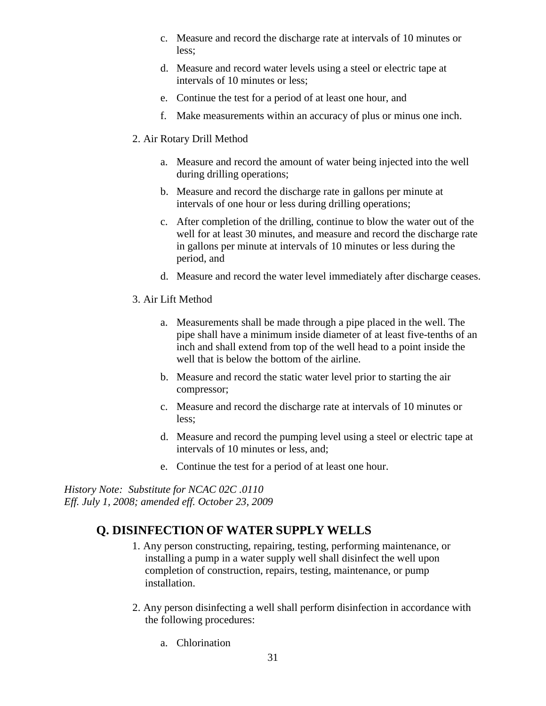- c. Measure and record the discharge rate at intervals of 10 minutes or less;
- d. Measure and record water levels using a steel or electric tape at intervals of 10 minutes or less;
- e. Continue the test for a period of at least one hour, and
- f. Make measurements within an accuracy of plus or minus one inch.
- 2. Air Rotary Drill Method
	- a. Measure and record the amount of water being injected into the well during drilling operations;
	- b. Measure and record the discharge rate in gallons per minute at intervals of one hour or less during drilling operations;
	- c. After completion of the drilling, continue to blow the water out of the well for at least 30 minutes, and measure and record the discharge rate in gallons per minute at intervals of 10 minutes or less during the period, and
	- d. Measure and record the water level immediately after discharge ceases.
- 3. Air Lift Method
	- a. Measurements shall be made through a pipe placed in the well. The pipe shall have a minimum inside diameter of at least five-tenths of an inch and shall extend from top of the well head to a point inside the well that is below the bottom of the airline.
	- b. Measure and record the static water level prior to starting the air compressor;
	- c. Measure and record the discharge rate at intervals of 10 minutes or less;
	- d. Measure and record the pumping level using a steel or electric tape at intervals of 10 minutes or less, and;
	- e. Continue the test for a period of at least one hour.

*History Note: Substitute for NCAC 02C .0110 Eff. July 1, 2008; amended eff. October 23, 2009*

### **Q. DISINFECTION OF WATER SUPPLY WELLS**

- 1. Any person constructing, repairing, testing, performing maintenance, or installing a pump in a water supply well shall disinfect the well upon completion of construction, repairs, testing, maintenance, or pump installation.
- 2. Any person disinfecting a well shall perform disinfection in accordance with the following procedures:
	- a. Chlorination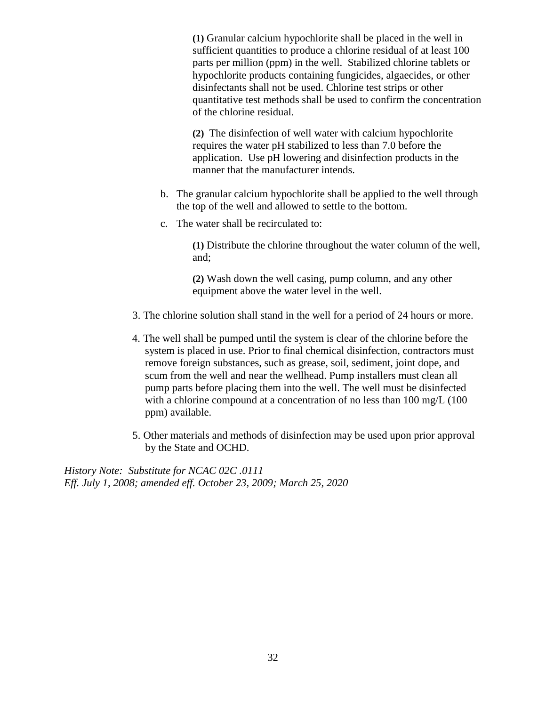**(1)** Granular calcium hypochlorite shall be placed in the well in sufficient quantities to produce a chlorine residual of at least 100 parts per million (ppm) in the well. Stabilized chlorine tablets or hypochlorite products containing fungicides, algaecides, or other disinfectants shall not be used. Chlorine test strips or other quantitative test methods shall be used to confirm the concentration of the chlorine residual.

**(2)** The disinfection of well water with calcium hypochlorite requires the water pH stabilized to less than 7.0 before the application. Use pH lowering and disinfection products in the manner that the manufacturer intends.

- b. The granular calcium hypochlorite shall be applied to the well through the top of the well and allowed to settle to the bottom.
- c. The water shall be recirculated to:

**(1)** Distribute the chlorine throughout the water column of the well, and;

**(2)** Wash down the well casing, pump column, and any other equipment above the water level in the well.

- 3. The chlorine solution shall stand in the well for a period of 24 hours or more.
- 4. The well shall be pumped until the system is clear of the chlorine before the system is placed in use. Prior to final chemical disinfection, contractors must remove foreign substances, such as grease, soil, sediment, joint dope, and scum from the well and near the wellhead. Pump installers must clean all pump parts before placing them into the well. The well must be disinfected with a chlorine compound at a concentration of no less than 100 mg/L (100) ppm) available.
- 5. Other materials and methods of disinfection may be used upon prior approval by the State and OCHD.

*History Note: Substitute for NCAC 02C .0111 Eff. July 1, 2008; amended eff. October 23, 2009; March 25, 2020*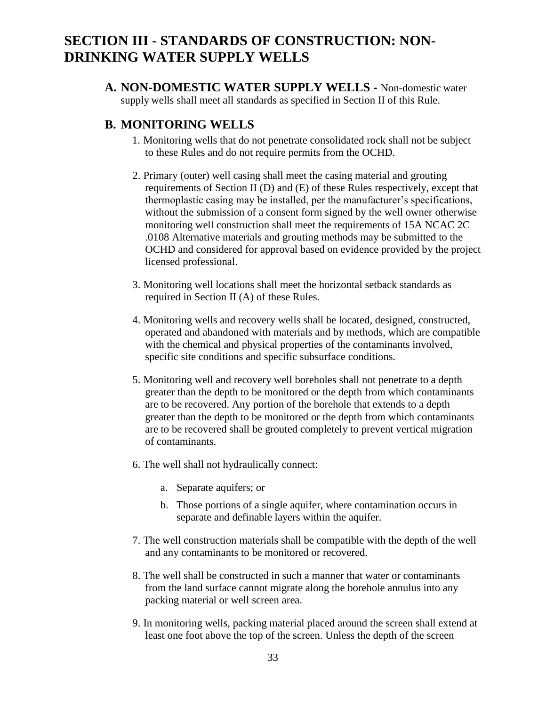## **SECTION III - STANDARDS OF CONSTRUCTION: NON-DRINKING WATER SUPPLY WELLS**

**A. NON-DOMESTIC WATER SUPPLY WELLS -** Non-domestic water supply wells shall meet all standards as specified in Section II of this Rule.

#### **B. MONITORING WELLS**

- 1. Monitoring wells that do not penetrate consolidated rock shall not be subject to these Rules and do not require permits from the OCHD.
- 2. Primary (outer) well casing shall meet the casing material and grouting requirements of Section II (D) and (E) of these Rules respectively, except that thermoplastic casing may be installed, per the manufacturer's specifications, without the submission of a consent form signed by the well owner otherwise monitoring well construction shall meet the requirements of 15A NCAC 2C .0108 Alternative materials and grouting methods may be submitted to the OCHD and considered for approval based on evidence provided by the project licensed professional.
- 3. Monitoring well locations shall meet the horizontal setback standards as required in Section II (A) of these Rules.
- 4. Monitoring wells and recovery wells shall be located, designed, constructed, operated and abandoned with materials and by methods, which are compatible with the chemical and physical properties of the contaminants involved, specific site conditions and specific subsurface conditions.
- 5. Monitoring well and recovery well boreholes shall not penetrate to a depth greater than the depth to be monitored or the depth from which contaminants are to be recovered. Any portion of the borehole that extends to a depth greater than the depth to be monitored or the depth from which contaminants are to be recovered shall be grouted completely to prevent vertical migration of contaminants.
- 6. The well shall not hydraulically connect:
	- a. Separate aquifers; or
	- b. Those portions of a single aquifer, where contamination occurs in separate and definable layers within the aquifer.
- 7. The well construction materials shall be compatible with the depth of the well and any contaminants to be monitored or recovered.
- 8. The well shall be constructed in such a manner that water or contaminants from the land surface cannot migrate along the borehole annulus into any packing material or well screen area.
- 9. In monitoring wells, packing material placed around the screen shall extend at least one foot above the top of the screen. Unless the depth of the screen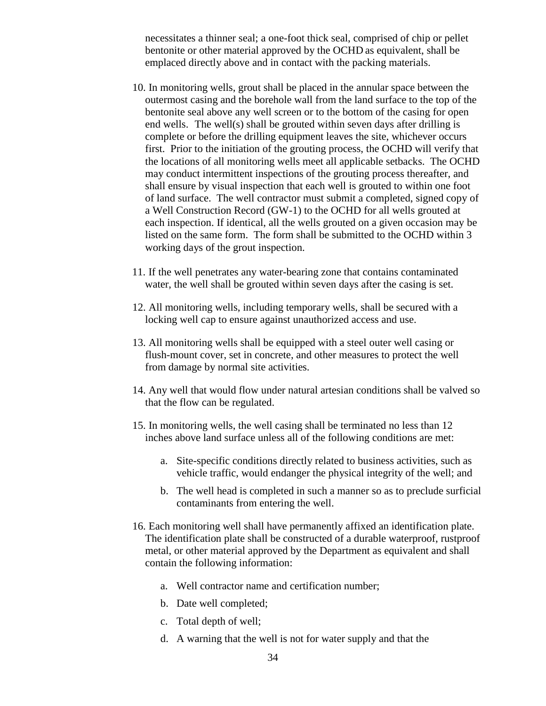necessitates a thinner seal; a one-foot thick seal, comprised of chip or pellet bentonite or other material approved by the OCHD as equivalent, shall be emplaced directly above and in contact with the packing materials.

- 10. In monitoring wells, grout shall be placed in the annular space between the outermost casing and the borehole wall from the land surface to the top of the bentonite seal above any well screen or to the bottom of the casing for open end wells.The well(s) shall be grouted within seven days after drilling is complete or before the drilling equipment leaves the site, whichever occurs first. Prior to the initiation of the grouting process, the OCHD will verify that the locations of all monitoring wells meet all applicable setbacks. The OCHD may conduct intermittent inspections of the grouting process thereafter, and shall ensure by visual inspection that each well is grouted to within one foot of land surface. The well contractor must submit a completed, signed copy of a Well Construction Record (GW-1) to the OCHD for all wells grouted at each inspection. If identical, all the wells grouted on a given occasion may be listed on the same form. The form shall be submitted to the OCHD within 3 working days of the grout inspection.
- 11. If the well penetrates any water-bearing zone that contains contaminated water, the well shall be grouted within seven days after the casing is set.
- 12. All monitoring wells, including temporary wells, shall be secured with a locking well cap to ensure against unauthorized access and use.
- 13. All monitoring wells shall be equipped with a steel outer well casing or flush-mount cover, set in concrete, and other measures to protect the well from damage by normal site activities.
- 14. Any well that would flow under natural artesian conditions shall be valved so that the flow can be regulated.
- 15. In monitoring wells, the well casing shall be terminated no less than 12 inches above land surface unless all of the following conditions are met:
	- a. Site-specific conditions directly related to business activities, such as vehicle traffic, would endanger the physical integrity of the well; and
	- b. The well head is completed in such a manner so as to preclude surficial contaminants from entering the well.
- 16. Each monitoring well shall have permanently affixed an identification plate. The identification plate shall be constructed of a durable waterproof, rustproof metal, or other material approved by the Department as equivalent and shall contain the following information:
	- a. Well contractor name and certification number;
	- b. Date well completed;
	- c. Total depth of well;
	- d. A warning that the well is not for water supply and that the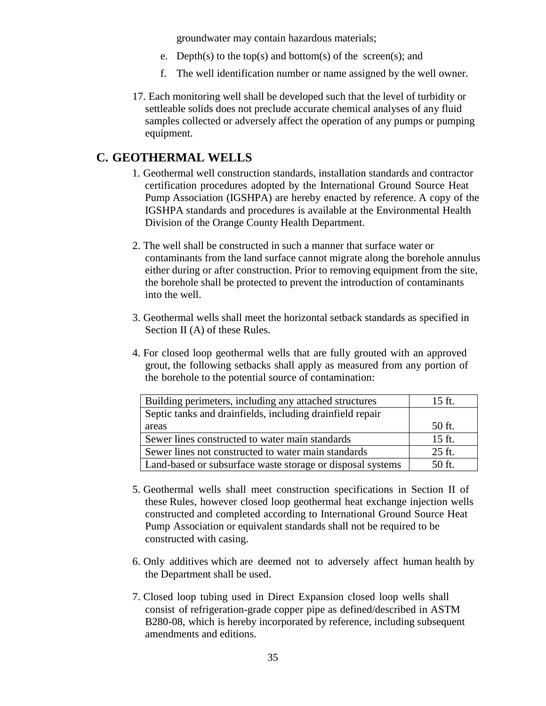groundwater may contain hazardous materials;

- e. Depth(s) to the top(s) and bottom(s) of the screen(s); and
- f. The well identification number or name assigned by the well owner.
- 17. Each monitoring well shall be developed such that the level of turbidity or settleable solids does not preclude accurate chemical analyses of any fluid samples collected or adversely affect the operation of any pumps or pumping equipment.

#### **C. GEOTHERMAL WELLS**

- 1. Geothermal well construction standards, installation standards and contractor certification procedures adopted by the International Ground Source Heat Pump Association (IGSHPA) are hereby enacted by reference. A copy of the IGSHPA standards and procedures is available at the Environmental Health Division of the Orange County Health Department.
- 2. The well shall be constructed in such a manner that surface water or contaminants from the land surface cannot migrate along the borehole annulus either during or after construction. Prior to removing equipment from the site, the borehole shall be protected to prevent the introduction of contaminants into the well.
- 3. Geothermal wells shall meet the horizontal setback standards as specified in Section II (A) of these Rules.
- 4. For closed loop geothermal wells that are fully grouted with an approved grout, the following setbacks shall apply as measured from any portion of the borehole to the potential source of contamination:

| Building perimeters, including any attached structures     | 15 ft. |
|------------------------------------------------------------|--------|
| Septic tanks and drainfields, including drainfield repair  |        |
| areas                                                      | 50 ft. |
| Sewer lines constructed to water main standards            | 15 ft. |
| Sewer lines not constructed to water main standards        | 25 ft. |
| Land-based or subsurface waste storage or disposal systems | 50 ft. |

- 5. Geothermal wells shall meet construction specifications in Section II of these Rules, however closed loop geothermal heat exchange injection wells constructed and completed according to International Ground Source Heat Pump Association or equivalent standards shall not be required to be constructed with casing.
- 6. Only additives which are deemed not to adversely affect human health by the Department shall be used.
- 7. Closed loop tubing used in Direct Expansion closed loop wells shall consist of refrigeration-grade copper pipe as defined/described in ASTM B280-08, which is hereby incorporated by reference, including subsequent amendments and editions.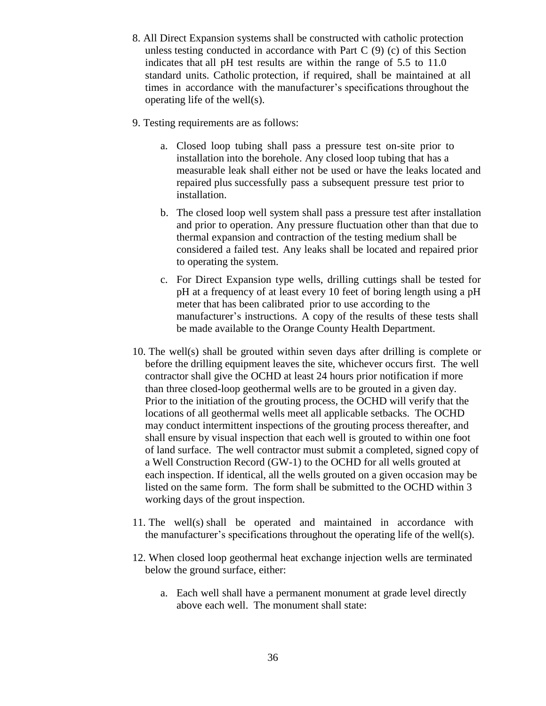- 8. All Direct Expansion systems shall be constructed with catholic protection unless testing conducted in accordance with Part C (9) (c) of this Section indicates that all pH test results are within the range of 5.5 to 11.0 standard units. Catholic protection, if required, shall be maintained at all times in accordance with the manufacturer's specifications throughout the operating life of the well(s).
- 9. Testing requirements are as follows:
	- a. Closed loop tubing shall pass a pressure test on-site prior to installation into the borehole. Any closed loop tubing that has a measurable leak shall either not be used or have the leaks located and repaired plus successfully pass a subsequent pressure test prior to installation.
	- b. The closed loop well system shall pass a pressure test after installation and prior to operation. Any pressure fluctuation other than that due to thermal expansion and contraction of the testing medium shall be considered a failed test. Any leaks shall be located and repaired prior to operating the system.
	- c. For Direct Expansion type wells, drilling cuttings shall be tested for pH at a frequency of at least every 10 feet of boring length using a pH meter that has been calibrated prior to use according to the manufacturer's instructions. A copy of the results of these tests shall be made available to the Orange County Health Department.
- 10. The well(s) shall be grouted within seven days after drilling is complete or before the drilling equipment leaves the site, whichever occurs first. The well contractor shall give the OCHD at least 24 hours prior notification if more than three closed-loop geothermal wells are to be grouted in a given day. Prior to the initiation of the grouting process, the OCHD will verify that the locations of all geothermal wells meet all applicable setbacks. The OCHD may conduct intermittent inspections of the grouting process thereafter, and shall ensure by visual inspection that each well is grouted to within one foot of land surface. The well contractor must submit a completed, signed copy of a Well Construction Record (GW-1) to the OCHD for all wells grouted at each inspection. If identical, all the wells grouted on a given occasion may be listed on the same form. The form shall be submitted to the OCHD within 3 working days of the grout inspection.
- 11. The well(s) shall be operated and maintained in accordance with the manufacturer's specifications throughout the operating life of the well(s).
- 12. When closed loop geothermal heat exchange injection wells are terminated below the ground surface, either:
	- a. Each well shall have a permanent monument at grade level directly above each well. The monument shall state: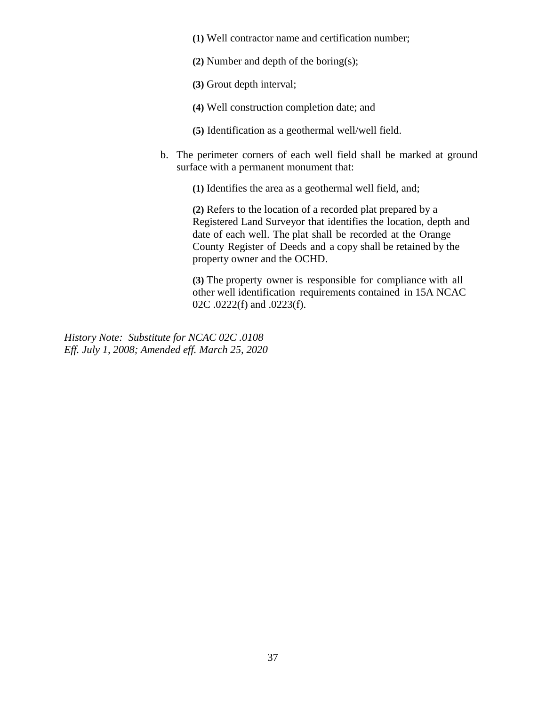- **(1)** Well contractor name and certification number;
- **(2)** Number and depth of the boring(s);
- **(3)** Grout depth interval;
- **(4)** Well construction completion date; and
- **(5)** Identification as a geothermal well/well field.
- b. The perimeter corners of each well field shall be marked at ground surface with a permanent monument that:

**(1)** Identifies the area as a geothermal well field, and;

**(2)** Refers to the location of a recorded plat prepared by a Registered Land Surveyor that identifies the location, depth and date of each well. The plat shall be recorded at the Orange County Register of Deeds and a copy shall be retained by the property owner and the OCHD.

**(3)** The property owner is responsible for compliance with all other well identification requirements contained in 15A NCAC 02C .0222(f) and .0223(f).

*History Note: Substitute for NCAC 02C .0108 Eff. July 1, 2008; Amended eff. March 25, 2020*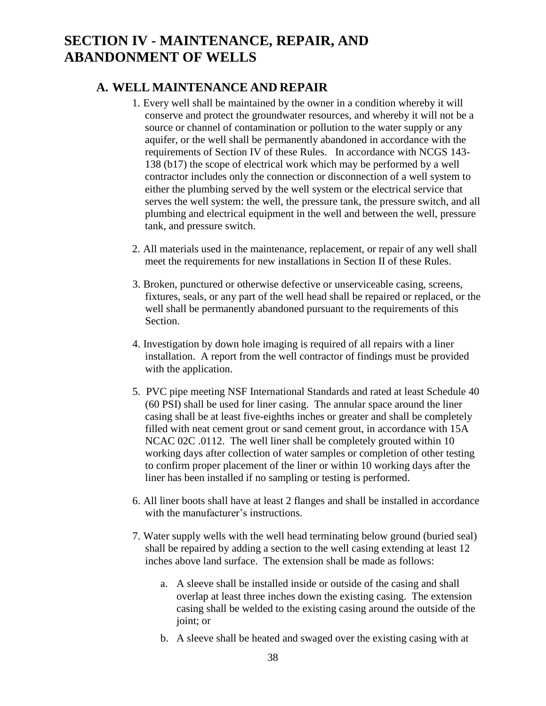## **SECTION IV - MAINTENANCE, REPAIR, AND ABANDONMENT OF WELLS**

#### **A. WELL MAINTENANCE AND REPAIR**

- 1. Every well shall be maintained by the owner in a condition whereby it will conserve and protect the groundwater resources, and whereby it will not be a source or channel of contamination or pollution to the water supply or any aquifer, or the well shall be permanently abandoned in accordance with the requirements of Section IV of these Rules. In accordance with NCGS 143- 138 (b17) the scope of electrical work which may be performed by a well contractor includes only the connection or disconnection of a well system to either the plumbing served by the well system or the electrical service that serves the well system: the well, the pressure tank, the pressure switch, and all plumbing and electrical equipment in the well and between the well, pressure tank, and pressure switch.
- 2. All materials used in the maintenance, replacement, or repair of any well shall meet the requirements for new installations in Section II of these Rules.
- 3. Broken, punctured or otherwise defective or unserviceable casing, screens, fixtures, seals, or any part of the well head shall be repaired or replaced, or the well shall be permanently abandoned pursuant to the requirements of this Section.
- 4. Investigation by down hole imaging is required of all repairs with a liner installation. A report from the well contractor of findings must be provided with the application.
- 5. PVC pipe meeting NSF International Standards and rated at least Schedule 40 (60 PSI) shall be used for liner casing. The annular space around the liner casing shall be at least five-eighths inches or greater and shall be completely filled with neat cement grout or sand cement grout, in accordance with 15A NCAC 02C .0112. The well liner shall be completely grouted within 10 working days after collection of water samples or completion of other testing to confirm proper placement of the liner or within 10 working days after the liner has been installed if no sampling or testing is performed.
- 6. All liner boots shall have at least 2 flanges and shall be installed in accordance with the manufacturer's instructions.
- 7. Water supply wells with the well head terminating below ground (buried seal) shall be repaired by adding a section to the well casing extending at least 12 inches above land surface. The extension shall be made as follows:
	- a. A sleeve shall be installed inside or outside of the casing and shall overlap at least three inches down the existing casing. The extension casing shall be welded to the existing casing around the outside of the joint; or
	- b. A sleeve shall be heated and swaged over the existing casing with at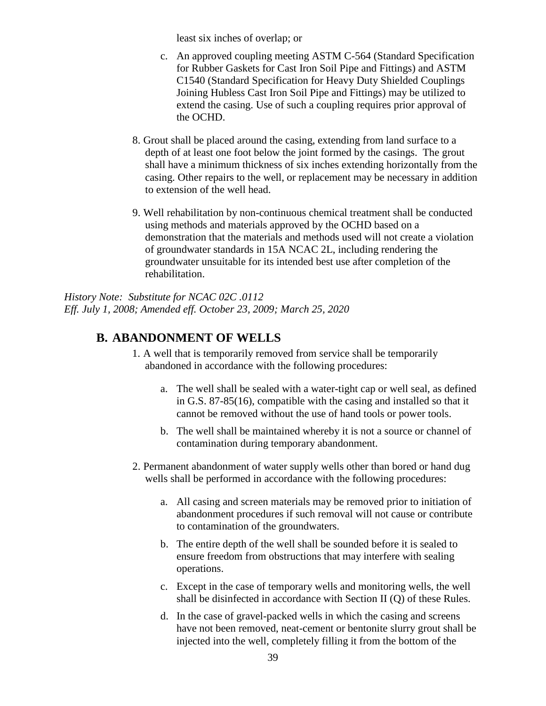least six inches of overlap; or

- c. An approved coupling meeting ASTM C-564 (Standard Specification for Rubber Gaskets for Cast Iron Soil Pipe and Fittings) and ASTM C1540 (Standard Specification for Heavy Duty Shielded Couplings Joining Hubless Cast Iron Soil Pipe and Fittings) may be utilized to extend the casing. Use of such a coupling requires prior approval of the OCHD.
- 8. Grout shall be placed around the casing, extending from land surface to a depth of at least one foot below the joint formed by the casings. The grout shall have a minimum thickness of six inches extending horizontally from the casing. Other repairs to the well, or replacement may be necessary in addition to extension of the well head.
- 9. Well rehabilitation by non-continuous chemical treatment shall be conducted using methods and materials approved by the OCHD based on a demonstration that the materials and methods used will not create a violation of groundwater standards in 15A NCAC 2L, including rendering the groundwater unsuitable for its intended best use after completion of the rehabilitation.

*History Note: Substitute for NCAC 02C .0112 Eff. July 1, 2008; Amended eff. October 23, 2009; March 25, 2020*

#### **B. ABANDONMENT OF WELLS**

- 1. A well that is temporarily removed from service shall be temporarily abandoned in accordance with the following procedures:
	- a. The well shall be sealed with a water-tight cap or well seal, as defined in G.S. 87-85(16), compatible with the casing and installed so that it cannot be removed without the use of hand tools or power tools.
	- b. The well shall be maintained whereby it is not a source or channel of contamination during temporary abandonment.
- 2. Permanent abandonment of water supply wells other than bored or hand dug wells shall be performed in accordance with the following procedures:
	- a. All casing and screen materials may be removed prior to initiation of abandonment procedures if such removal will not cause or contribute to contamination of the groundwaters.
	- b. The entire depth of the well shall be sounded before it is sealed to ensure freedom from obstructions that may interfere with sealing operations.
	- c. Except in the case of temporary wells and monitoring wells, the well shall be disinfected in accordance with Section II (Q) of these Rules.
	- d. In the case of gravel-packed wells in which the casing and screens have not been removed, neat-cement or bentonite slurry grout shall be injected into the well, completely filling it from the bottom of the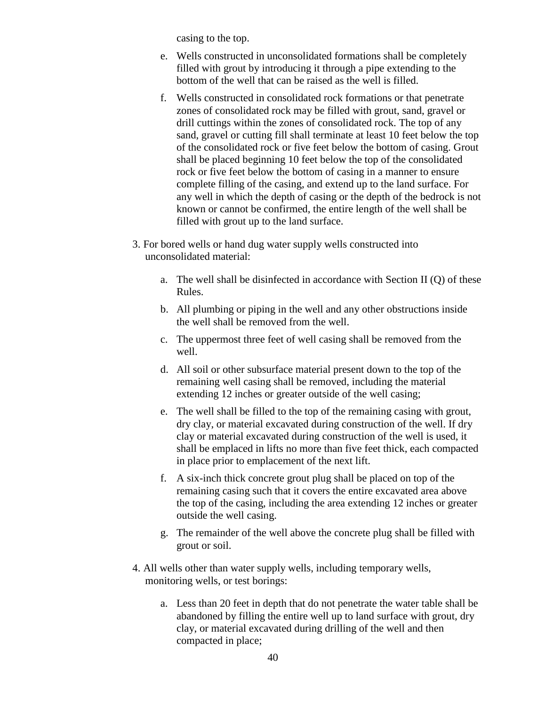casing to the top.

- e. Wells constructed in unconsolidated formations shall be completely filled with grout by introducing it through a pipe extending to the bottom of the well that can be raised as the well is filled.
- f. Wells constructed in consolidated rock formations or that penetrate zones of consolidated rock may be filled with grout, sand, gravel or drill cuttings within the zones of consolidated rock. The top of any sand, gravel or cutting fill shall terminate at least 10 feet below the top of the consolidated rock or five feet below the bottom of casing. Grout shall be placed beginning 10 feet below the top of the consolidated rock or five feet below the bottom of casing in a manner to ensure complete filling of the casing, and extend up to the land surface. For any well in which the depth of casing or the depth of the bedrock is not known or cannot be confirmed, the entire length of the well shall be filled with grout up to the land surface.
- 3. For bored wells or hand dug water supply wells constructed into unconsolidated material:
	- a. The well shall be disinfected in accordance with Section II (Q) of these Rules.
	- b. All plumbing or piping in the well and any other obstructions inside the well shall be removed from the well.
	- c. The uppermost three feet of well casing shall be removed from the well.
	- d. All soil or other subsurface material present down to the top of the remaining well casing shall be removed, including the material extending 12 inches or greater outside of the well casing;
	- e. The well shall be filled to the top of the remaining casing with grout, dry clay, or material excavated during construction of the well. If dry clay or material excavated during construction of the well is used, it shall be emplaced in lifts no more than five feet thick, each compacted in place prior to emplacement of the next lift.
	- f. A six-inch thick concrete grout plug shall be placed on top of the remaining casing such that it covers the entire excavated area above the top of the casing, including the area extending 12 inches or greater outside the well casing.
	- g. The remainder of the well above the concrete plug shall be filled with grout or soil.
- 4. All wells other than water supply wells, including temporary wells, monitoring wells, or test borings:
	- a. Less than 20 feet in depth that do not penetrate the water table shall be abandoned by filling the entire well up to land surface with grout, dry clay, or material excavated during drilling of the well and then compacted in place;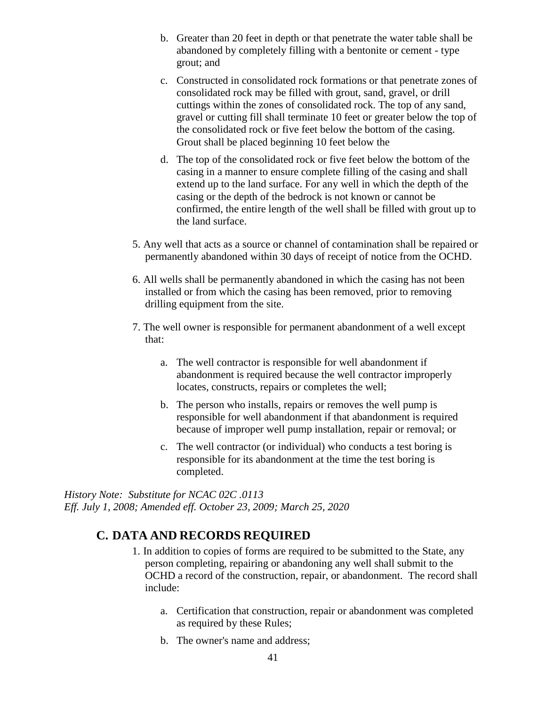- b. Greater than 20 feet in depth or that penetrate the water table shall be abandoned by completely filling with a bentonite or cement - type grout; and
- c. Constructed in consolidated rock formations or that penetrate zones of consolidated rock may be filled with grout, sand, gravel, or drill cuttings within the zones of consolidated rock. The top of any sand, gravel or cutting fill shall terminate 10 feet or greater below the top of the consolidated rock or five feet below the bottom of the casing. Grout shall be placed beginning 10 feet below the
- d. The top of the consolidated rock or five feet below the bottom of the casing in a manner to ensure complete filling of the casing and shall extend up to the land surface. For any well in which the depth of the casing or the depth of the bedrock is not known or cannot be confirmed, the entire length of the well shall be filled with grout up to the land surface.
- 5. Any well that acts as a source or channel of contamination shall be repaired or permanently abandoned within 30 days of receipt of notice from the OCHD.
- 6. All wells shall be permanently abandoned in which the casing has not been installed or from which the casing has been removed, prior to removing drilling equipment from the site.
- 7. The well owner is responsible for permanent abandonment of a well except that:
	- a. The well contractor is responsible for well abandonment if abandonment is required because the well contractor improperly locates, constructs, repairs or completes the well;
	- b. The person who installs, repairs or removes the well pump is responsible for well abandonment if that abandonment is required because of improper well pump installation, repair or removal; or
	- c. The well contractor (or individual) who conducts a test boring is responsible for its abandonment at the time the test boring is completed.

*History Note: Substitute for NCAC 02C .0113 Eff. July 1, 2008; Amended eff. October 23, 2009; March 25, 2020*

### **C. DATA AND RECORDS REQUIRED**

- 1. In addition to copies of forms are required to be submitted to the State, any person completing, repairing or abandoning any well shall submit to the OCHD a record of the construction, repair, or abandonment. The record shall include:
	- a. Certification that construction, repair or abandonment was completed as required by these Rules;
	- b. The owner's name and address;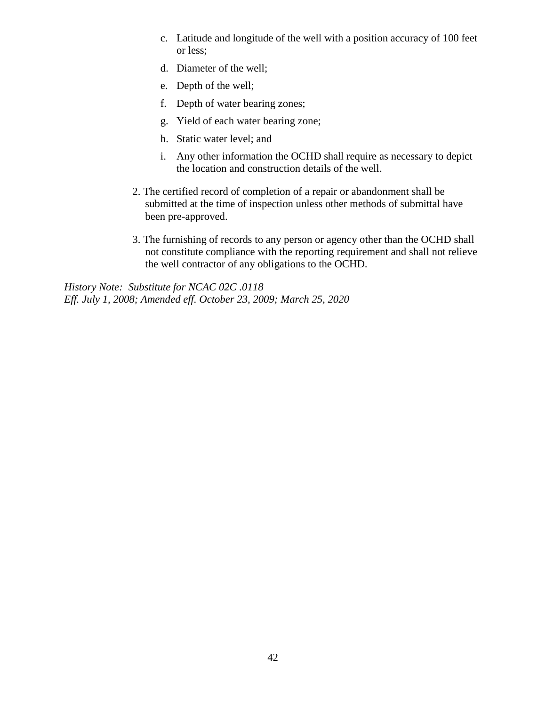- c. Latitude and longitude of the well with a position accuracy of 100 feet or less;
- d. Diameter of the well;
- e. Depth of the well;
- f. Depth of water bearing zones;
- g. Yield of each water bearing zone;
- h. Static water level; and
- i. Any other information the OCHD shall require as necessary to depict the location and construction details of the well.
- 2. The certified record of completion of a repair or abandonment shall be submitted at the time of inspection unless other methods of submittal have been pre-approved.
- 3. The furnishing of records to any person or agency other than the OCHD shall not constitute compliance with the reporting requirement and shall not relieve the well contractor of any obligations to the OCHD.

*History Note: Substitute for NCAC 02C .0118 Eff. July 1, 2008; Amended eff. October 23, 2009; March 25, 2020*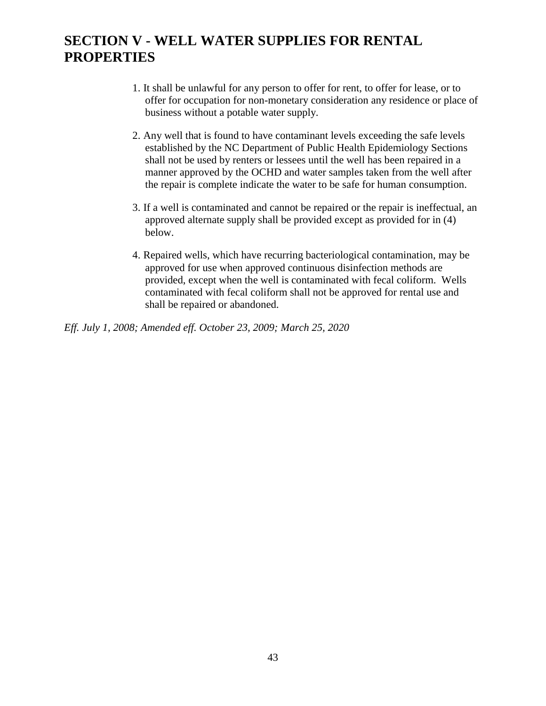## **SECTION V - WELL WATER SUPPLIES FOR RENTAL PROPERTIES**

- 1. It shall be unlawful for any person to offer for rent, to offer for lease, or to offer for occupation for non-monetary consideration any residence or place of business without a potable water supply.
- 2. Any well that is found to have contaminant levels exceeding the safe levels established by the NC Department of Public Health Epidemiology Sections shall not be used by renters or lessees until the well has been repaired in a manner approved by the OCHD and water samples taken from the well after the repair is complete indicate the water to be safe for human consumption.
- 3. If a well is contaminated and cannot be repaired or the repair is ineffectual, an approved alternate supply shall be provided except as provided for in (4) below.
- 4. Repaired wells, which have recurring bacteriological contamination, may be approved for use when approved continuous disinfection methods are provided, except when the well is contaminated with fecal coliform. Wells contaminated with fecal coliform shall not be approved for rental use and shall be repaired or abandoned.

*Eff. July 1, 2008; Amended eff. October 23, 2009; March 25, 2020*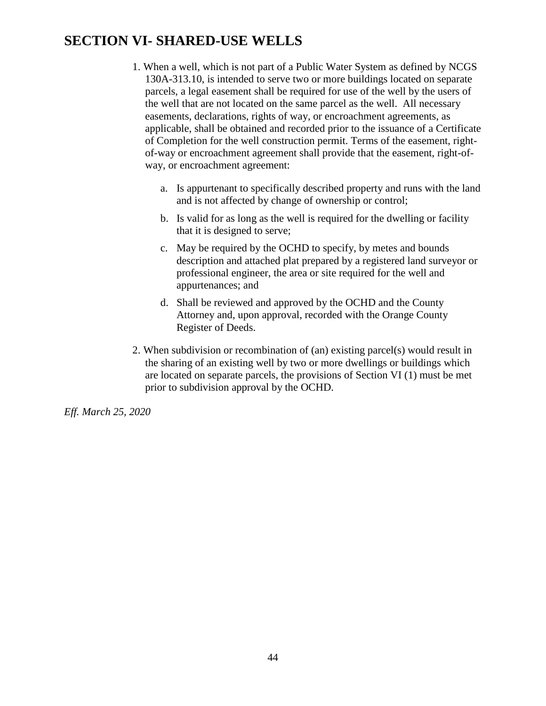## **SECTION VI- SHARED-USE WELLS**

- 1. When a well, which is not part of a Public Water System as defined by NCGS 130A-313.10, is intended to serve two or more buildings located on separate parcels, a legal easement shall be required for use of the well by the users of the well that are not located on the same parcel as the well. All necessary easements, declarations, rights of way, or encroachment agreements, as applicable, shall be obtained and recorded prior to the issuance of a Certificate of Completion for the well construction permit. Terms of the easement, rightof-way or encroachment agreement shall provide that the easement, right-ofway, or encroachment agreement:
	- a. Is appurtenant to specifically described property and runs with the land and is not affected by change of ownership or control;
	- b. Is valid for as long as the well is required for the dwelling or facility that it is designed to serve;
	- c. May be required by the OCHD to specify, by metes and bounds description and attached plat prepared by a registered land surveyor or professional engineer, the area or site required for the well and appurtenances; and
	- d. Shall be reviewed and approved by the OCHD and the County Attorney and, upon approval, recorded with the Orange County Register of Deeds.
- 2. When subdivision or recombination of (an) existing parcel(s) would result in the sharing of an existing well by two or more dwellings or buildings which are located on separate parcels, the provisions of Section VI (1) must be met prior to subdivision approval by the OCHD.

*Eff. March 25, 2020*